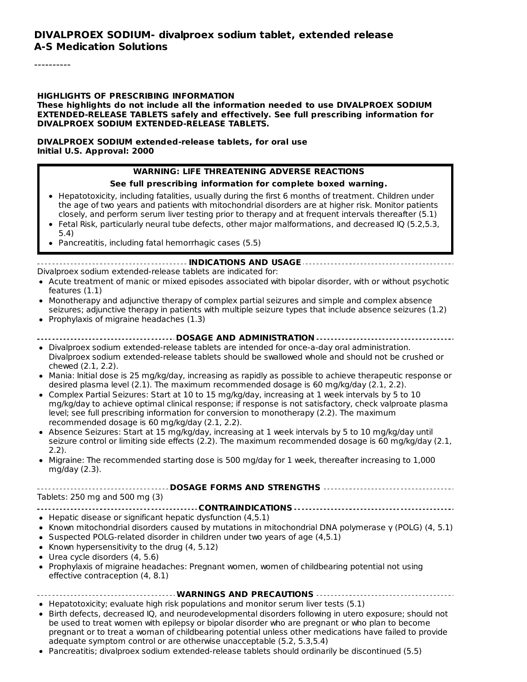#### **DIVALPROEX SODIUM- divalproex sodium tablet, extended release A-S Medication Solutions**

----------

#### **HIGHLIGHTS OF PRESCRIBING INFORMATION**

**These highlights do not include all the information needed to use DIVALPROEX SODIUM EXTENDED-RELEASE TABLETS safely and effectively. See full prescribing information for DIVALPROEX SODIUM EXTENDED-RELEASE TABLETS.**

#### **DIVALPROEX SODIUM extended-release tablets, for oral use Initial U.S. Approval: 2000**

#### **WARNING: LIFE THREATENING ADVERSE REACTIONS**

#### **See full prescribing information for complete boxed warning.**

- Hepatotoxicity, including fatalities, usually during the first 6 months of treatment. Children under the age of two years and patients with mitochondrial disorders are at higher risk. Monitor patients closely, and perform serum liver testing prior to therapy and at frequent intervals thereafter (5.1)
- Fetal Risk, particularly neural tube defects, other major malformations, and decreased IQ (5.2,5.3, 5.4)
- Pancreatitis, including fatal hemorrhagic cases (5.5)

#### **INDICATIONS AND USAGE**

Divalproex sodium extended-release tablets are indicated for:

- Acute treatment of manic or mixed episodes associated with bipolar disorder, with or without psychotic features (1.1)
- Monotherapy and adjunctive therapy of complex partial seizures and simple and complex absence  $\bullet$ seizures; adjunctive therapy in patients with multiple seizure types that include absence seizures (1.2)
- Prophylaxis of migraine headaches  $(1.3)$

#### **DOSAGE AND ADMINISTRATION**

- Divalproex sodium extended-release tablets are intended for once-a-day oral administration. Divalproex sodium extended-release tablets should be swallowed whole and should not be crushed or chewed (2.1, 2.2).
- Mania: Initial dose is 25 mg/kg/day, increasing as rapidly as possible to achieve therapeutic response or desired plasma level (2.1). The maximum recommended dosage is 60 mg/kg/day (2.1, 2.2).
- Complex Partial Seizures: Start at 10 to 15 mg/kg/day, increasing at 1 week intervals by 5 to 10 mg/kg/day to achieve optimal clinical response; if response is not satisfactory, check valproate plasma level; see full prescribing information for conversion to monotherapy (2.2). The maximum recommended dosage is 60 mg/kg/day (2.1, 2.2).
- Absence Seizures: Start at 15 mg/kg/day, increasing at 1 week intervals by 5 to 10 mg/kg/day until seizure control or limiting side effects (2.2). The maximum recommended dosage is 60 mg/kg/day (2.1, 2.2).
- Migraine: The recommended starting dose is 500 mg/day for 1 week, thereafter increasing to 1,000 mg/day (2.3).

# **DOSAGE FORMS AND STRENGTHS**

Tablets: 250 mg and 500 mg (3)

- **CONTRAINDICATIONS**
- Hepatic disease or significant hepatic dysfunction (4,5.1)
- $\bullet$  Known mitochondrial disorders caused by mutations in mitochondrial DNA polymerase γ (POLG) (4, 5.1)
- $\bullet$  Suspected POLG-related disorder in children under two years of age (4.5.1)
- Known hypersensitivity to the drug  $(4, 5.12)$
- Urea cycle disorders (4, 5.6)
- Prophylaxis of migraine headaches: Pregnant women, women of childbearing potential not using effective contraception (4, 8.1)

#### **WARNINGS AND PRECAUTIONS**

- $\bullet$  Hepatotoxicity; evaluate high risk populations and monitor serum liver tests (5.1)
- Birth defects, decreased IQ, and neurodevelopmental disorders following in utero exposure; should not be used to treat women with epilepsy or bipolar disorder who are pregnant or who plan to become pregnant or to treat a woman of childbearing potential unless other medications have failed to provide adequate symptom control or are otherwise unacceptable (5.2, 5.3,5.4)
- Pancreatitis; divalproex sodium extended-release tablets should ordinarily be discontinued (5.5)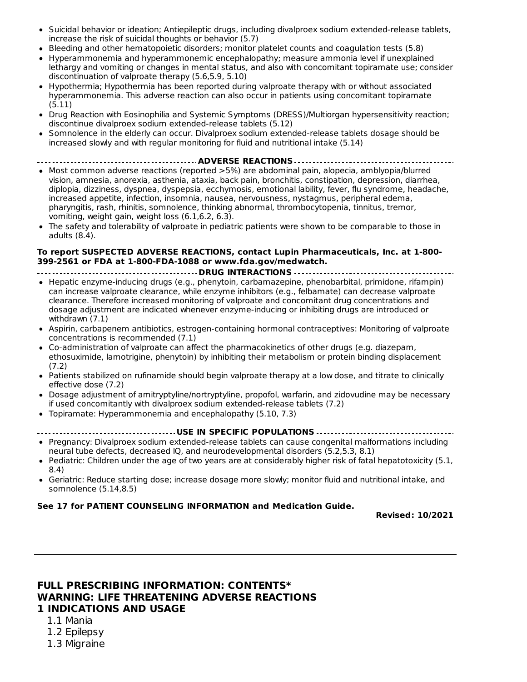- Suicidal behavior or ideation; Antiepileptic drugs, including divalproex sodium extended-release tablets, increase the risk of suicidal thoughts or behavior (5.7)
- Bleeding and other hematopoietic disorders; monitor platelet counts and coagulation tests (5.8)
- Hyperammonemia and hyperammonemic encephalopathy; measure ammonia level if unexplained lethargy and vomiting or changes in mental status, and also with concomitant topiramate use; consider discontinuation of valproate therapy (5.6,5.9, 5.10)
- Hypothermia; Hypothermia has been reported during valproate therapy with or without associated hyperammonemia. This adverse reaction can also occur in patients using concomitant topiramate (5.11)
- Drug Reaction with Eosinophilia and Systemic Symptoms (DRESS)/Multiorgan hypersensitivity reaction; discontinue divalproex sodium extended-release tablets (5.12)
- Somnolence in the elderly can occur. Divalproex sodium extended-release tablets dosage should be increased slowly and with regular monitoring for fluid and nutritional intake (5.14)
- **ADVERSE REACTIONS**
- Most common adverse reactions (reported >5%) are abdominal pain, alopecia, amblyopia/blurred vision, amnesia, anorexia, asthenia, ataxia, back pain, bronchitis, constipation, depression, diarrhea, diplopia, dizziness, dyspnea, dyspepsia, ecchymosis, emotional lability, fever, flu syndrome, headache, increased appetite, infection, insomnia, nausea, nervousness, nystagmus, peripheral edema, pharyngitis, rash, rhinitis, somnolence, thinking abnormal, thrombocytopenia, tinnitus, tremor, vomiting, weight gain, weight loss (6.1,6.2, 6.3).
- The safety and tolerability of valproate in pediatric patients were shown to be comparable to those in adults (8.4).

#### **To report SUSPECTED ADVERSE REACTIONS, contact Lupin Pharmaceuticals, Inc. at 1-800- 399-2561 or FDA at 1-800-FDA-1088 or www.fda.gov/medwatch.**

- **DRUG INTERACTIONS**
- Hepatic enzyme-inducing drugs (e.g., phenytoin, carbamazepine, phenobarbital, primidone, rifampin) can increase valproate clearance, while enzyme inhibitors (e.g., felbamate) can decrease valproate clearance. Therefore increased monitoring of valproate and concomitant drug concentrations and dosage adjustment are indicated whenever enzyme-inducing or inhibiting drugs are introduced or withdrawn (7.1)
- Aspirin, carbapenem antibiotics, estrogen-containing hormonal contraceptives: Monitoring of valproate concentrations is recommended (7.1)
- Co-administration of valproate can affect the pharmacokinetics of other drugs (e.g. diazepam, ethosuximide, lamotrigine, phenytoin) by inhibiting their metabolism or protein binding displacement (7.2)
- Patients stabilized on rufinamide should begin valproate therapy at a low dose, and titrate to clinically effective dose (7.2)
- Dosage adjustment of amitryptyline/nortryptyline, propofol, warfarin, and zidovudine may be necessary if used concomitantly with divalproex sodium extended-release tablets (7.2)
- Topiramate: Hyperammonemia and encephalopathy (5.10, 7.3)

#### **USE IN SPECIFIC POPULATIONS**  $- - -$

- Pregnancy: Divalproex sodium extended-release tablets can cause congenital malformations including neural tube defects, decreased IQ, and neurodevelopmental disorders (5.2,5.3, 8.1)
- Pediatric: Children under the age of two years are at considerably higher risk of fatal hepatotoxicity (5.1, 8.4)
- Geriatric: Reduce starting dose; increase dosage more slowly; monitor fluid and nutritional intake, and somnolence (5.14,8.5)

#### **See 17 for PATIENT COUNSELING INFORMATION and Medication Guide.**

**Revised: 10/2021**

#### **FULL PRESCRIBING INFORMATION: CONTENTS\* WARNING: LIFE THREATENING ADVERSE REACTIONS 1 INDICATIONS AND USAGE**

- 1.1 Mania
- 1.2 Epilepsy
- 1.3 Migraine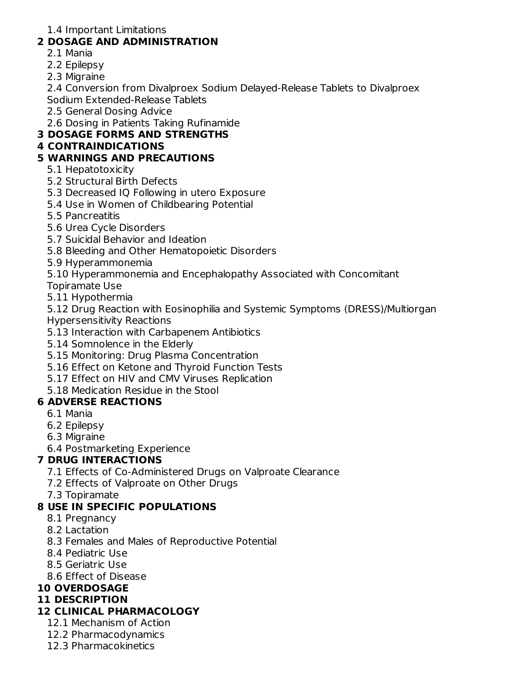1.4 Important Limitations

# **2 DOSAGE AND ADMINISTRATION**

- 2.1 Mania
- 2.2 Epilepsy
- 2.3 Migraine

2.4 Conversion from Divalproex Sodium Delayed-Release Tablets to Divalproex Sodium Extended-Release Tablets

2.5 General Dosing Advice

2.6 Dosing in Patients Taking Rufinamide

# **3 DOSAGE FORMS AND STRENGTHS**

# **4 CONTRAINDICATIONS**

# **5 WARNINGS AND PRECAUTIONS**

- 5.1 Hepatotoxicity
- 5.2 Structural Birth Defects
- 5.3 Decreased IQ Following in utero Exposure
- 5.4 Use in Women of Childbearing Potential
- 5.5 Pancreatitis
- 5.6 Urea Cycle Disorders
- 5.7 Suicidal Behavior and Ideation
- 5.8 Bleeding and Other Hematopoietic Disorders
- 5.9 Hyperammonemia
- 5.10 Hyperammonemia and Encephalopathy Associated with Concomitant
- Topiramate Use
- 5.11 Hypothermia

5.12 Drug Reaction with Eosinophilia and Systemic Symptoms (DRESS)/Multiorgan Hypersensitivity Reactions

- 5.13 Interaction with Carbapenem Antibiotics
- 5.14 Somnolence in the Elderly
- 5.15 Monitoring: Drug Plasma Concentration
- 5.16 Effect on Ketone and Thyroid Function Tests
- 5.17 Effect on HIV and CMV Viruses Replication
- 5.18 Medication Residue in the Stool

# **6 ADVERSE REACTIONS**

- 6.1 Mania
- 6.2 Epilepsy
- 6.3 Migraine

6.4 Postmarketing Experience

### **7 DRUG INTERACTIONS**

- 7.1 Effects of Co-Administered Drugs on Valproate Clearance
- 7.2 Effects of Valproate on Other Drugs
- 7.3 Topiramate

# **8 USE IN SPECIFIC POPULATIONS**

- 8.1 Pregnancy
- 8.2 Lactation
- 8.3 Females and Males of Reproductive Potential
- 8.4 Pediatric Use
- 8.5 Geriatric Use
- 8.6 Effect of Disease

### **10 OVERDOSAGE**

### **11 DESCRIPTION**

### **12 CLINICAL PHARMACOLOGY**

- 12.1 Mechanism of Action
- 12.2 Pharmacodynamics
- 12.3 Pharmacokinetics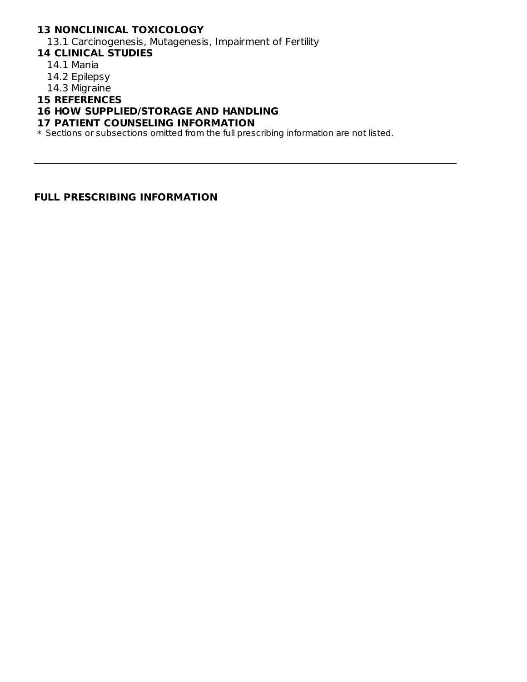### **13 NONCLINICAL TOXICOLOGY**

13.1 Carcinogenesis, Mutagenesis, Impairment of Fertility

- **14 CLINICAL STUDIES**
	- 14.1 Mania
	- 14.2 Epilepsy
	- 14.3 Migraine

#### **15 REFERENCES**

#### **16 HOW SUPPLIED/STORAGE AND HANDLING**

#### **17 PATIENT COUNSELING INFORMATION**

\* Sections or subsections omitted from the full prescribing information are not listed.

#### **FULL PRESCRIBING INFORMATION**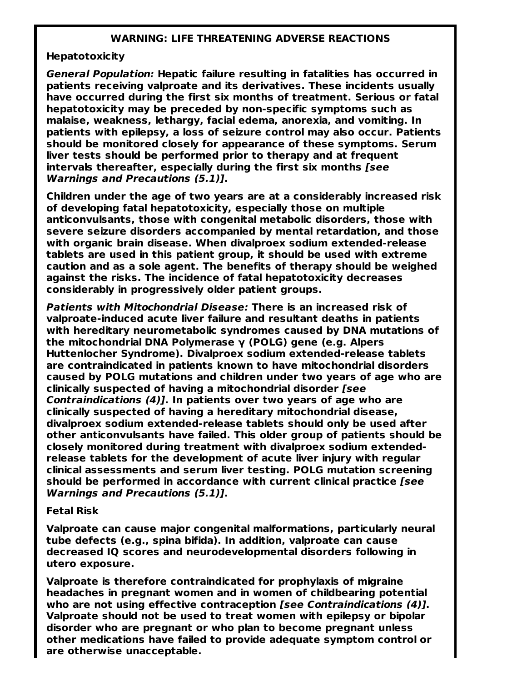#### **WARNING: LIFE THREATENING ADVERSE REACTIONS**

#### **Hepatotoxicity**

**General Population: Hepatic failure resulting in fatalities has occurred in patients receiving valproate and its derivatives. These incidents usually have occurred during the first six months of treatment. Serious or fatal hepatotoxicity may be preceded by non-specific symptoms such as malaise, weakness, lethargy, facial edema, anorexia, and vomiting. In patients with epilepsy, a loss of seizure control may also occur. Patients should be monitored closely for appearance of these symptoms. Serum liver tests should be performed prior to therapy and at frequent intervals thereafter, especially during the first six months [see Warnings and Precautions (5.1)].**

**Children under the age of two years are at a considerably increased risk of developing fatal hepatotoxicity, especially those on multiple anticonvulsants, those with congenital metabolic disorders, those with severe seizure disorders accompanied by mental retardation, and those with organic brain disease. When divalproex sodium extended-release tablets are used in this patient group, it should be used with extreme caution and as a sole agent. The benefits of therapy should be weighed against the risks. The incidence of fatal hepatotoxicity decreases considerably in progressively older patient groups.**

**Patients with Mitochondrial Disease: There is an increased risk of valproate-induced acute liver failure and resultant deaths in patients with hereditary neurometabolic syndromes caused by DNA mutations of the mitochondrial DNA Polymerase γ (POLG) gene (e.g. Alpers Huttenlocher Syndrome). Divalproex sodium extended-release tablets are contraindicated in patients known to have mitochondrial disorders caused by POLG mutations and children under two years of age who are clinically suspected of having a mitochondrial disorder [see Contraindications (4)]. In patients over two years of age who are clinically suspected of having a hereditary mitochondrial disease, divalproex sodium extended-release tablets should only be used after other anticonvulsants have failed. This older group of patients should be closely monitored during treatment with divalproex sodium extendedrelease tablets for the development of acute liver injury with regular clinical assessments and serum liver testing. POLG mutation screening should be performed in accordance with current clinical practice [see Warnings and Precautions (5.1)].**

#### **Fetal Risk**

**Valproate can cause major congenital malformations, particularly neural tube defects (e.g., spina bifida). In addition, valproate can cause decreased IQ scores and neurodevelopmental disorders following in utero exposure.**

**Valproate is therefore contraindicated for prophylaxis of migraine headaches in pregnant women and in women of childbearing potential who are not using effective contraception [see Contraindications (4)]. Valproate should not be used to treat women with epilepsy or bipolar disorder who are pregnant or who plan to become pregnant unless other medications have failed to provide adequate symptom control or are otherwise unacceptable.**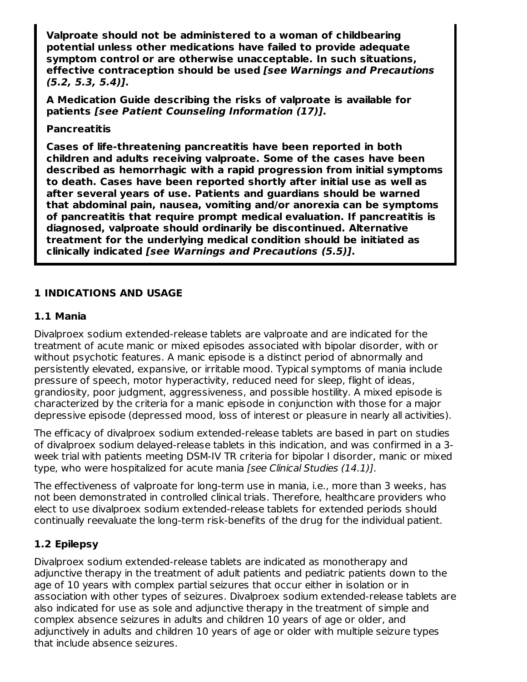**Valproate should not be administered to a woman of childbearing potential unless other medications have failed to provide adequate symptom control or are otherwise unacceptable. In such situations, effective contraception should be used [see Warnings and Precautions (5.2, 5.3, 5.4)].**

**A Medication Guide describing the risks of valproate is available for patients [see Patient Counseling Information (17)].**

#### **Pancreatitis**

**Cases of life-threatening pancreatitis have been reported in both children and adults receiving valproate. Some of the cases have been described as hemorrhagic with a rapid progression from initial symptoms to death. Cases have been reported shortly after initial use as well as after several years of use. Patients and guardians should be warned that abdominal pain, nausea, vomiting and/or anorexia can be symptoms of pancreatitis that require prompt medical evaluation. If pancreatitis is diagnosed, valproate should ordinarily be discontinued. Alternative treatment for the underlying medical condition should be initiated as clinically indicated [see Warnings and Precautions (5.5)].**

### **1 INDICATIONS AND USAGE**

#### **1.1 Mania**

Divalproex sodium extended-release tablets are valproate and are indicated for the treatment of acute manic or mixed episodes associated with bipolar disorder, with or without psychotic features. A manic episode is a distinct period of abnormally and persistently elevated, expansive, or irritable mood. Typical symptoms of mania include pressure of speech, motor hyperactivity, reduced need for sleep, flight of ideas, grandiosity, poor judgment, aggressiveness, and possible hostility. A mixed episode is characterized by the criteria for a manic episode in conjunction with those for a major depressive episode (depressed mood, loss of interest or pleasure in nearly all activities).

The efficacy of divalproex sodium extended-release tablets are based in part on studies of divalproex sodium delayed-release tablets in this indication, and was confirmed in a 3 week trial with patients meeting DSM-IV TR criteria for bipolar I disorder, manic or mixed type, who were hospitalized for acute mania [see Clinical Studies (14.1)].

The effectiveness of valproate for long-term use in mania, i.e., more than 3 weeks, has not been demonstrated in controlled clinical trials. Therefore, healthcare providers who elect to use divalproex sodium extended-release tablets for extended periods should continually reevaluate the long-term risk-benefits of the drug for the individual patient.

### **1.2 Epilepsy**

Divalproex sodium extended-release tablets are indicated as monotherapy and adjunctive therapy in the treatment of adult patients and pediatric patients down to the age of 10 years with complex partial seizures that occur either in isolation or in association with other types of seizures. Divalproex sodium extended-release tablets are also indicated for use as sole and adjunctive therapy in the treatment of simple and complex absence seizures in adults and children 10 years of age or older, and adjunctively in adults and children 10 years of age or older with multiple seizure types that include absence seizures.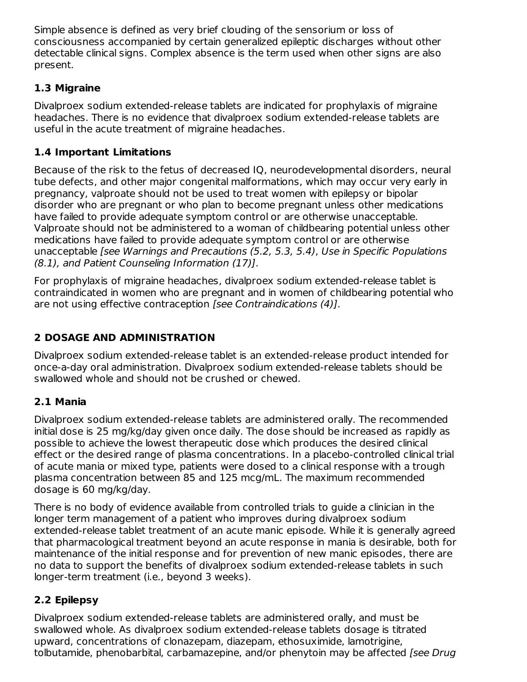Simple absence is defined as very brief clouding of the sensorium or loss of consciousness accompanied by certain generalized epileptic discharges without other detectable clinical signs. Complex absence is the term used when other signs are also present.

# **1.3 Migraine**

Divalproex sodium extended-release tablets are indicated for prophylaxis of migraine headaches. There is no evidence that divalproex sodium extended-release tablets are useful in the acute treatment of migraine headaches.

# **1.4 Important Limitations**

Because of the risk to the fetus of decreased IQ, neurodevelopmental disorders, neural tube defects, and other major congenital malformations, which may occur very early in pregnancy, valproate should not be used to treat women with epilepsy or bipolar disorder who are pregnant or who plan to become pregnant unless other medications have failed to provide adequate symptom control or are otherwise unacceptable. Valproate should not be administered to a woman of childbearing potential unless other medications have failed to provide adequate symptom control or are otherwise unacceptable [see Warnings and Precautions (5.2, 5.3, 5.4), Use in Specific Populations (8.1), and Patient Counseling Information (17)].

For prophylaxis of migraine headaches, divalproex sodium extended-release tablet is contraindicated in women who are pregnant and in women of childbearing potential who are not using effective contraception [see Contraindications (4)].

# **2 DOSAGE AND ADMINISTRATION**

Divalproex sodium extended-release tablet is an extended-release product intended for once-a-day oral administration. Divalproex sodium extended-release tablets should be swallowed whole and should not be crushed or chewed.

# **2.1 Mania**

Divalproex sodium extended-release tablets are administered orally. The recommended initial dose is 25 mg/kg/day given once daily. The dose should be increased as rapidly as possible to achieve the lowest therapeutic dose which produces the desired clinical effect or the desired range of plasma concentrations. In a placebo-controlled clinical trial of acute mania or mixed type, patients were dosed to a clinical response with a trough plasma concentration between 85 and 125 mcg/mL. The maximum recommended dosage is 60 mg/kg/day.

There is no body of evidence available from controlled trials to guide a clinician in the longer term management of a patient who improves during divalproex sodium extended-release tablet treatment of an acute manic episode. While it is generally agreed that pharmacological treatment beyond an acute response in mania is desirable, both for maintenance of the initial response and for prevention of new manic episodes, there are no data to support the benefits of divalproex sodium extended-release tablets in such longer-term treatment (i.e., beyond 3 weeks).

# **2.2 Epilepsy**

Divalproex sodium extended-release tablets are administered orally, and must be swallowed whole. As divalproex sodium extended-release tablets dosage is titrated upward, concentrations of clonazepam, diazepam, ethosuximide, lamotrigine, tolbutamide, phenobarbital, carbamazepine, and/or phenytoin may be affected [see Drug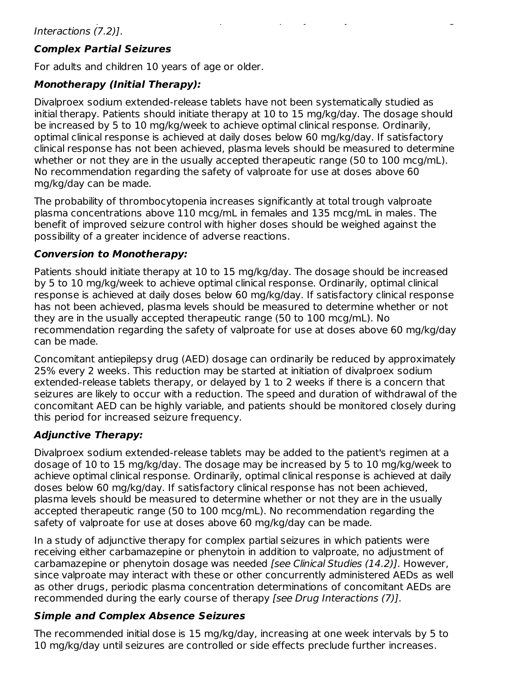# **Complex Partial Seizures**

For adults and children 10 years of age or older.

# **Monotherapy (Initial Therapy):**

Divalproex sodium extended-release tablets have not been systematically studied as initial therapy. Patients should initiate therapy at 10 to 15 mg/kg/day. The dosage should be increased by 5 to 10 mg/kg/week to achieve optimal clinical response. Ordinarily, optimal clinical response is achieved at daily doses below 60 mg/kg/day. If satisfactory clinical response has not been achieved, plasma levels should be measured to determine whether or not they are in the usually accepted therapeutic range (50 to 100 mcg/mL). No recommendation regarding the safety of valproate for use at doses above 60 mg/kg/day can be made.

The probability of thrombocytopenia increases significantly at total trough valproate plasma concentrations above 110 mcg/mL in females and 135 mcg/mL in males. The benefit of improved seizure control with higher doses should be weighed against the possibility of a greater incidence of adverse reactions.

### **Conversion to Monotherapy:**

Patients should initiate therapy at 10 to 15 mg/kg/day. The dosage should be increased by 5 to 10 mg/kg/week to achieve optimal clinical response. Ordinarily, optimal clinical response is achieved at daily doses below 60 mg/kg/day. If satisfactory clinical response has not been achieved, plasma levels should be measured to determine whether or not they are in the usually accepted therapeutic range (50 to 100 mcg/mL). No recommendation regarding the safety of valproate for use at doses above 60 mg/kg/day can be made.

Concomitant antiepilepsy drug (AED) dosage can ordinarily be reduced by approximately 25% every 2 weeks. This reduction may be started at initiation of divalproex sodium extended-release tablets therapy, or delayed by 1 to 2 weeks if there is a concern that seizures are likely to occur with a reduction. The speed and duration of withdrawal of the concomitant AED can be highly variable, and patients should be monitored closely during this period for increased seizure frequency.

### **Adjunctive Therapy:**

Divalproex sodium extended-release tablets may be added to the patient's regimen at a dosage of 10 to 15 mg/kg/day. The dosage may be increased by 5 to 10 mg/kg/week to achieve optimal clinical response. Ordinarily, optimal clinical response is achieved at daily doses below 60 mg/kg/day. If satisfactory clinical response has not been achieved, plasma levels should be measured to determine whether or not they are in the usually accepted therapeutic range (50 to 100 mcg/mL). No recommendation regarding the safety of valproate for use at doses above 60 mg/kg/day can be made.

In a study of adjunctive therapy for complex partial seizures in which patients were receiving either carbamazepine or phenytoin in addition to valproate, no adjustment of carbamazepine or phenytoin dosage was needed [see Clinical Studies (14.2)]. However, since valproate may interact with these or other concurrently administered AEDs as well as other drugs, periodic plasma concentration determinations of concomitant AEDs are recommended during the early course of therapy [see Drug Interactions (7)].

### **Simple and Complex Absence Seizures**

The recommended initial dose is 15 mg/kg/day, increasing at one week intervals by 5 to 10 mg/kg/day until seizures are controlled or side effects preclude further increases.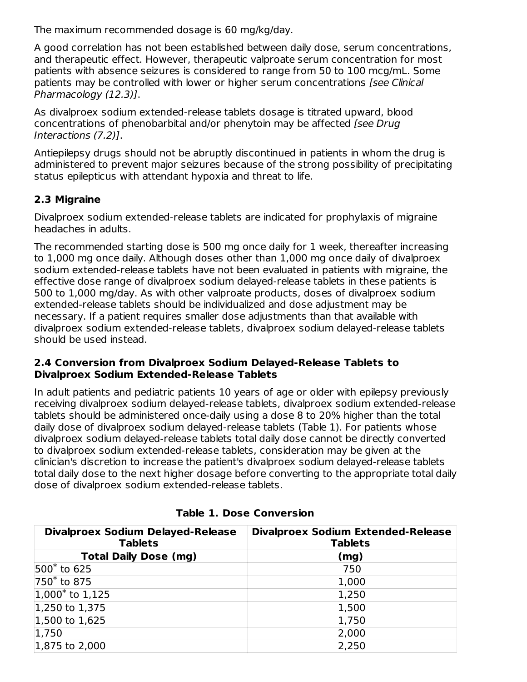The maximum recommended dosage is 60 mg/kg/day.

A good correlation has not been established between daily dose, serum concentrations, and therapeutic effect. However, therapeutic valproate serum concentration for most patients with absence seizures is considered to range from 50 to 100 mcg/mL. Some patients may be controlled with lower or higher serum concentrations [see Clinical Pharmacology (12.3)].

As divalproex sodium extended-release tablets dosage is titrated upward, blood concentrations of phenobarbital and/or phenytoin may be affected [see Drug Interactions (7.2)].

Antiepilepsy drugs should not be abruptly discontinued in patients in whom the drug is administered to prevent major seizures because of the strong possibility of precipitating status epilepticus with attendant hypoxia and threat to life.

# **2.3 Migraine**

Divalproex sodium extended-release tablets are indicated for prophylaxis of migraine headaches in adults.

The recommended starting dose is 500 mg once daily for 1 week, thereafter increasing to 1,000 mg once daily. Although doses other than 1,000 mg once daily of divalproex sodium extended-release tablets have not been evaluated in patients with migraine, the effective dose range of divalproex sodium delayed-release tablets in these patients is 500 to 1,000 mg/day. As with other valproate products, doses of divalproex sodium extended-release tablets should be individualized and dose adjustment may be necessary. If a patient requires smaller dose adjustments than that available with divalproex sodium extended-release tablets, divalproex sodium delayed-release tablets should be used instead.

#### **2.4 Conversion from Divalproex Sodium Delayed-Release Tablets to Divalproex Sodium Extended-Release Tablets**

In adult patients and pediatric patients 10 years of age or older with epilepsy previously receiving divalproex sodium delayed-release tablets, divalproex sodium extended-release tablets should be administered once-daily using a dose 8 to 20% higher than the total daily dose of divalproex sodium delayed-release tablets (Table 1). For patients whose divalproex sodium delayed-release tablets total daily dose cannot be directly converted to divalproex sodium extended-release tablets, consideration may be given at the clinician's discretion to increase the patient's divalproex sodium delayed-release tablets total daily dose to the next higher dosage before converting to the appropriate total daily dose of divalproex sodium extended-release tablets.

| <b>Divalproex Sodium Delayed-Release</b><br><b>Tablets</b> | <b>Divalproex Sodium Extended-Release</b><br><b>Tablets</b> |
|------------------------------------------------------------|-------------------------------------------------------------|
| <b>Total Daily Dose (mg)</b>                               | (mg)                                                        |
| 500 <sup>*</sup> to 625                                    | 750                                                         |
| 750* to 875                                                | 1,000                                                       |
| $1,000^*$ to 1,125                                         | 1,250                                                       |
| 1,250 to $1,375$                                           | 1,500                                                       |
| 1,500 to 1,625                                             | 1,750                                                       |
| 1,750                                                      | 2,000                                                       |
| $1,875$ to 2,000                                           | 2,250                                                       |

### **Table 1. Dose Conversion**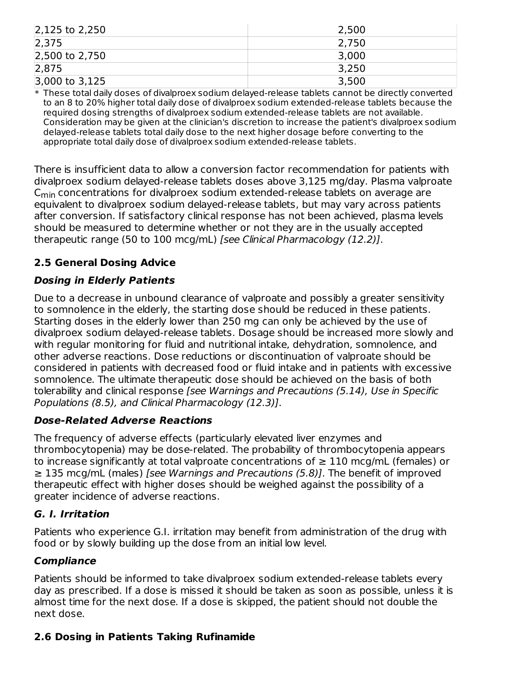| $2,125$ to 2,250 | 2,500 |
|------------------|-------|
| 2,375            | 2,750 |
| 2,500 to 2,750   | 3,000 |
| 2,875            | 3,250 |
| $3,000$ to 3,125 | 3,500 |

\* These total daily doses of divalproex sodium delayed-release tablets cannot be directly converted to an 8 to 20% higher total daily dose of divalproex sodium extended-release tablets because the required dosing strengths of divalproex sodium extended-release tablets are not available. Consideration may be given at the clinician's discretion to increase the patient's divalproex sodium delayed-release tablets total daily dose to the next higher dosage before converting to the appropriate total daily dose of divalproex sodium extended-release tablets.

There is insufficient data to allow a conversion factor recommendation for patients with divalproex sodium delayed-release tablets doses above 3,125 mg/day. Plasma valproate  $\mathsf{C}_{\mathsf{min}}$  concentrations for divalproex sodium extended-release tablets on average are equivalent to divalproex sodium delayed-release tablets, but may vary across patients after conversion. If satisfactory clinical response has not been achieved, plasma levels should be measured to determine whether or not they are in the usually accepted therapeutic range (50 to 100 mcg/mL) [see Clinical Pharmacology (12.2)].

# **2.5 General Dosing Advice**

### **Dosing in Elderly Patients**

Due to a decrease in unbound clearance of valproate and possibly a greater sensitivity to somnolence in the elderly, the starting dose should be reduced in these patients. Starting doses in the elderly lower than 250 mg can only be achieved by the use of divalproex sodium delayed-release tablets. Dosage should be increased more slowly and with regular monitoring for fluid and nutritional intake, dehydration, somnolence, and other adverse reactions. Dose reductions or discontinuation of valproate should be considered in patients with decreased food or fluid intake and in patients with excessive somnolence. The ultimate therapeutic dose should be achieved on the basis of both tolerability and clinical response [see Warnings and Precautions (5.14), Use in Specific Populations (8.5), and Clinical Pharmacology (12.3)].

### **Dose-Related Adverse Reactions**

The frequency of adverse effects (particularly elevated liver enzymes and thrombocytopenia) may be dose-related. The probability of thrombocytopenia appears to increase significantly at total valproate concentrations of  $\geq 110$  mcg/mL (females) or ≥ 135 mcg/mL (males) [see Warnings and Precautions (5.8)]. The benefit of improved therapeutic effect with higher doses should be weighed against the possibility of a greater incidence of adverse reactions.

#### **G. I. Irritation**

Patients who experience G.I. irritation may benefit from administration of the drug with food or by slowly building up the dose from an initial low level.

### **Compliance**

Patients should be informed to take divalproex sodium extended-release tablets every day as prescribed. If a dose is missed it should be taken as soon as possible, unless it is almost time for the next dose. If a dose is skipped, the patient should not double the next dose.

### **2.6 Dosing in Patients Taking Rufinamide**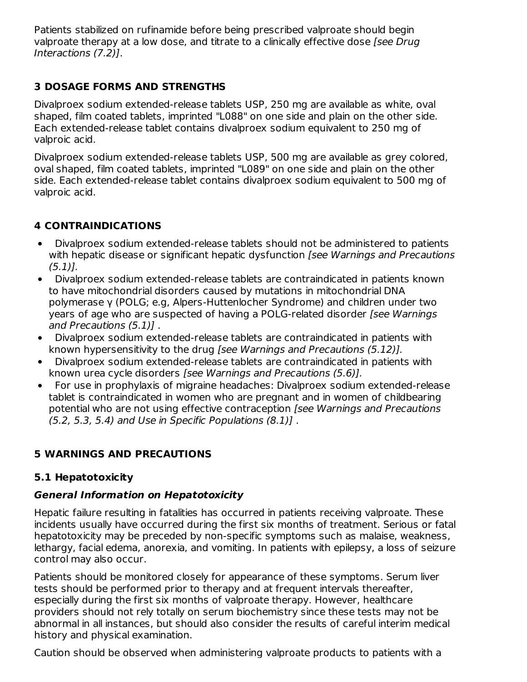Patients stabilized on rufinamide before being prescribed valproate should begin valproate therapy at a low dose, and titrate to a clinically effective dose [see Drug] Interactions (7.2)].

# **3 DOSAGE FORMS AND STRENGTHS**

Divalproex sodium extended-release tablets USP, 250 mg are available as white, oval shaped, film coated tablets, imprinted "L088" on one side and plain on the other side. Each extended-release tablet contains divalproex sodium equivalent to 250 mg of valproic acid.

Divalproex sodium extended-release tablets USP, 500 mg are available as grey colored, oval shaped, film coated tablets, imprinted "L089" on one side and plain on the other side. Each extended-release tablet contains divalproex sodium equivalent to 500 mg of valproic acid.

# **4 CONTRAINDICATIONS**

- Divalproex sodium extended-release tablets should not be administered to patients  $\bullet$ with hepatic disease or significant hepatic dysfunction [see Warnings and Precautions  $(5.1)$ .
- Divalproex sodium extended-release tablets are contraindicated in patients known to have mitochondrial disorders caused by mutations in mitochondrial DNA polymerase γ (POLG; e.g, Alpers-Huttenlocher Syndrome) and children under two years of age who are suspected of having a POLG-related disorder [see Warnings and Precautions (5.1)] .
- Divalproex sodium extended-release tablets are contraindicated in patients with known hypersensitivity to the drug [see Warnings and Precautions (5.12)].
- Divalproex sodium extended-release tablets are contraindicated in patients with known urea cycle disorders [see Warnings and Precautions (5.6)].
- For use in prophylaxis of migraine headaches: Divalproex sodium extended-release tablet is contraindicated in women who are pregnant and in women of childbearing potential who are not using effective contraception [see Warnings and Precautions (5.2, 5.3, 5.4) and Use in Specific Populations (8.1)] .

# **5 WARNINGS AND PRECAUTIONS**

### **5.1 Hepatotoxicity**

### **General Information on Hepatotoxicity**

Hepatic failure resulting in fatalities has occurred in patients receiving valproate. These incidents usually have occurred during the first six months of treatment. Serious or fatal hepatotoxicity may be preceded by non-specific symptoms such as malaise, weakness, lethargy, facial edema, anorexia, and vomiting. In patients with epilepsy, a loss of seizure control may also occur.

Patients should be monitored closely for appearance of these symptoms. Serum liver tests should be performed prior to therapy and at frequent intervals thereafter, especially during the first six months of valproate therapy. However, healthcare providers should not rely totally on serum biochemistry since these tests may not be abnormal in all instances, but should also consider the results of careful interim medical history and physical examination.

Caution should be observed when administering valproate products to patients with a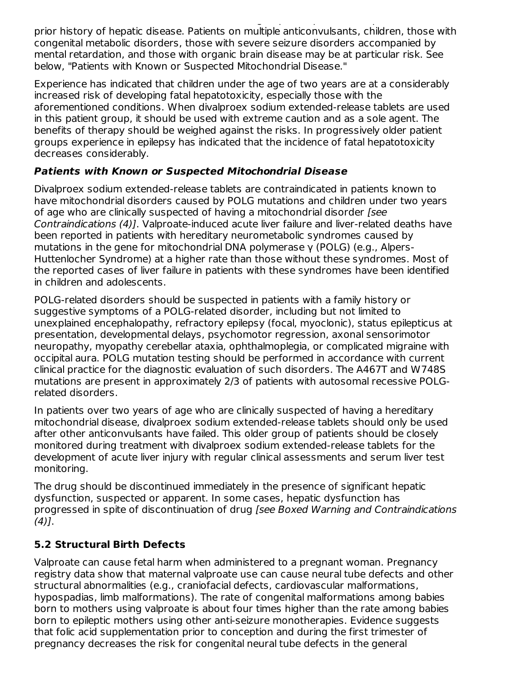Caution should be observed when administering valproate products to patients with a prior history of hepatic disease. Patients on multiple anticonvulsants, children, those with congenital metabolic disorders, those with severe seizure disorders accompanied by mental retardation, and those with organic brain disease may be at particular risk. See below, "Patients with Known or Suspected Mitochondrial Disease."

Experience has indicated that children under the age of two years are at a considerably increased risk of developing fatal hepatotoxicity, especially those with the aforementioned conditions. When divalproex sodium extended-release tablets are used in this patient group, it should be used with extreme caution and as a sole agent. The benefits of therapy should be weighed against the risks. In progressively older patient groups experience in epilepsy has indicated that the incidence of fatal hepatotoxicity decreases considerably.

# **Patients with Known or Suspected Mitochondrial Disease**

Divalproex sodium extended-release tablets are contraindicated in patients known to have mitochondrial disorders caused by POLG mutations and children under two years of age who are clinically suspected of having a mitochondrial disorder [see Contraindications (4)]. Valproate-induced acute liver failure and liver-related deaths have been reported in patients with hereditary neurometabolic syndromes caused by mutations in the gene for mitochondrial DNA polymerase γ (POLG) (e.g., Alpers-Huttenlocher Syndrome) at a higher rate than those without these syndromes. Most of the reported cases of liver failure in patients with these syndromes have been identified in children and adolescents.

POLG-related disorders should be suspected in patients with a family history or suggestive symptoms of a POLG-related disorder, including but not limited to unexplained encephalopathy, refractory epilepsy (focal, myoclonic), status epilepticus at presentation, developmental delays, psychomotor regression, axonal sensorimotor neuropathy, myopathy cerebellar ataxia, ophthalmoplegia, or complicated migraine with occipital aura. POLG mutation testing should be performed in accordance with current clinical practice for the diagnostic evaluation of such disorders. The A467T and W748S mutations are present in approximately 2/3 of patients with autosomal recessive POLGrelated disorders.

In patients over two years of age who are clinically suspected of having a hereditary mitochondrial disease, divalproex sodium extended-release tablets should only be used after other anticonvulsants have failed. This older group of patients should be closely monitored during treatment with divalproex sodium extended-release tablets for the development of acute liver injury with regular clinical assessments and serum liver test monitoring.

The drug should be discontinued immediately in the presence of significant hepatic dysfunction, suspected or apparent. In some cases, hepatic dysfunction has progressed in spite of discontinuation of drug [see Boxed Warning and Contraindications  $(4)$ ].

# **5.2 Structural Birth Defects**

Valproate can cause fetal harm when administered to a pregnant woman. Pregnancy registry data show that maternal valproate use can cause neural tube defects and other structural abnormalities (e.g., craniofacial defects, cardiovascular malformations, hypospadias, limb malformations). The rate of congenital malformations among babies born to mothers using valproate is about four times higher than the rate among babies born to epileptic mothers using other anti-seizure monotherapies. Evidence suggests that folic acid supplementation prior to conception and during the first trimester of pregnancy decreases the risk for congenital neural tube defects in the general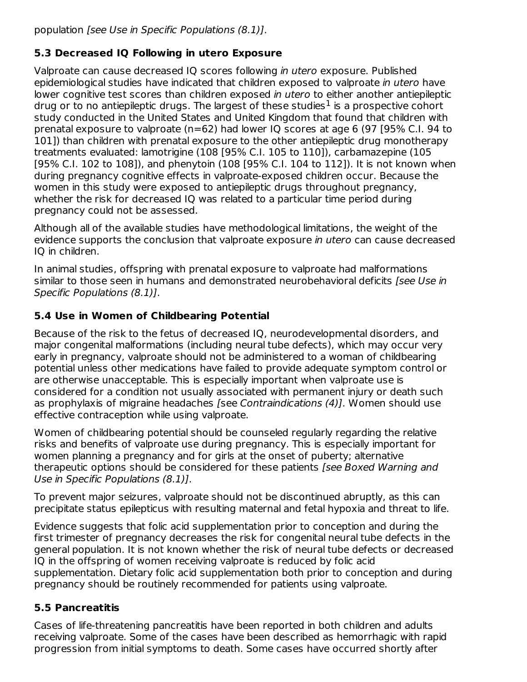# **5.3 Decreased IQ Following in utero Exposure**

Valproate can cause decreased IQ scores following in utero exposure. Published epidemiological studies have indicated that children exposed to valproate in utero have lower cognitive test scores than children exposed in utero to either another antiepileptic drug or to no antiepileptic drugs. The largest of these studies $<sup>1</sup>$  is a prospective cohort</sup> study conducted in the United States and United Kingdom that found that children with prenatal exposure to valproate (n=62) had lower IQ scores at age 6 (97 [95% C.I. 94 to 101]) than children with prenatal exposure to the other antiepileptic drug monotherapy treatments evaluated: lamotrigine (108 [95% C.I. 105 to 110]), carbamazepine (105 [95% C.I. 102 to 108]), and phenytoin (108 [95% C.I. 104 to 112]). It is not known when during pregnancy cognitive effects in valproate-exposed children occur. Because the women in this study were exposed to antiepileptic drugs throughout pregnancy, whether the risk for decreased IQ was related to a particular time period during pregnancy could not be assessed.

Although all of the available studies have methodological limitations, the weight of the evidence supports the conclusion that valproate exposure in utero can cause decreased IQ in children.

In animal studies, offspring with prenatal exposure to valproate had malformations similar to those seen in humans and demonstrated neurobehavioral deficits [see Use in Specific Populations (8.1)].

# **5.4 Use in Women of Childbearing Potential**

Because of the risk to the fetus of decreased IQ, neurodevelopmental disorders, and major congenital malformations (including neural tube defects), which may occur very early in pregnancy, valproate should not be administered to a woman of childbearing potential unless other medications have failed to provide adequate symptom control or are otherwise unacceptable. This is especially important when valproate use is considered for a condition not usually associated with permanent injury or death such as prophylaxis of migraine headaches [see Contraindications (4)]. Women should use effective contraception while using valproate.

Women of childbearing potential should be counseled regularly regarding the relative risks and benefits of valproate use during pregnancy. This is especially important for women planning a pregnancy and for girls at the onset of puberty; alternative therapeutic options should be considered for these patients *[see Boxed Warning and* Use in Specific Populations (8.1)].

To prevent major seizures, valproate should not be discontinued abruptly, as this can precipitate status epilepticus with resulting maternal and fetal hypoxia and threat to life.

Evidence suggests that folic acid supplementation prior to conception and during the first trimester of pregnancy decreases the risk for congenital neural tube defects in the general population. It is not known whether the risk of neural tube defects or decreased IQ in the offspring of women receiving valproate is reduced by folic acid supplementation. Dietary folic acid supplementation both prior to conception and during pregnancy should be routinely recommended for patients using valproate.

# **5.5 Pancreatitis**

Cases of life-threatening pancreatitis have been reported in both children and adults receiving valproate. Some of the cases have been described as hemorrhagic with rapid progression from initial symptoms to death. Some cases have occurred shortly after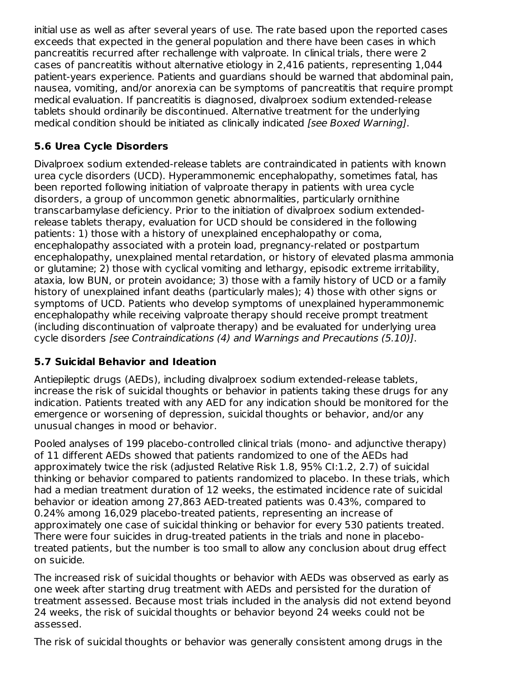initial use as well as after several years of use. The rate based upon the reported cases exceeds that expected in the general population and there have been cases in which pancreatitis recurred after rechallenge with valproate. In clinical trials, there were 2 cases of pancreatitis without alternative etiology in 2,416 patients, representing 1,044 patient-years experience. Patients and guardians should be warned that abdominal pain, nausea, vomiting, and/or anorexia can be symptoms of pancreatitis that require prompt medical evaluation. If pancreatitis is diagnosed, divalproex sodium extended-release tablets should ordinarily be discontinued. Alternative treatment for the underlying medical condition should be initiated as clinically indicated [see Boxed Warning].

# **5.6 Urea Cycle Disorders**

Divalproex sodium extended-release tablets are contraindicated in patients with known urea cycle disorders (UCD). Hyperammonemic encephalopathy, sometimes fatal, has been reported following initiation of valproate therapy in patients with urea cycle disorders, a group of uncommon genetic abnormalities, particularly ornithine transcarbamylase deficiency. Prior to the initiation of divalproex sodium extendedrelease tablets therapy, evaluation for UCD should be considered in the following patients: 1) those with a history of unexplained encephalopathy or coma, encephalopathy associated with a protein load, pregnancy-related or postpartum encephalopathy, unexplained mental retardation, or history of elevated plasma ammonia or glutamine; 2) those with cyclical vomiting and lethargy, episodic extreme irritability, ataxia, low BUN, or protein avoidance; 3) those with a family history of UCD or a family history of unexplained infant deaths (particularly males); 4) those with other signs or symptoms of UCD. Patients who develop symptoms of unexplained hyperammonemic encephalopathy while receiving valproate therapy should receive prompt treatment (including discontinuation of valproate therapy) and be evaluated for underlying urea cycle disorders [see Contraindications (4) and Warnings and Precautions (5.10)].

# **5.7 Suicidal Behavior and Ideation**

Antiepileptic drugs (AEDs), including divalproex sodium extended-release tablets, increase the risk of suicidal thoughts or behavior in patients taking these drugs for any indication. Patients treated with any AED for any indication should be monitored for the emergence or worsening of depression, suicidal thoughts or behavior, and/or any unusual changes in mood or behavior.

Pooled analyses of 199 placebo-controlled clinical trials (mono- and adjunctive therapy) of 11 different AEDs showed that patients randomized to one of the AEDs had approximately twice the risk (adjusted Relative Risk 1.8, 95% CI:1.2, 2.7) of suicidal thinking or behavior compared to patients randomized to placebo. In these trials, which had a median treatment duration of 12 weeks, the estimated incidence rate of suicidal behavior or ideation among 27,863 AED-treated patients was 0.43%, compared to 0.24% among 16,029 placebo-treated patients, representing an increase of approximately one case of suicidal thinking or behavior for every 530 patients treated. There were four suicides in drug-treated patients in the trials and none in placebotreated patients, but the number is too small to allow any conclusion about drug effect on suicide.

The increased risk of suicidal thoughts or behavior with AEDs was observed as early as one week after starting drug treatment with AEDs and persisted for the duration of treatment assessed. Because most trials included in the analysis did not extend beyond 24 weeks, the risk of suicidal thoughts or behavior beyond 24 weeks could not be assessed.

The risk of suicidal thoughts or behavior was generally consistent among drugs in the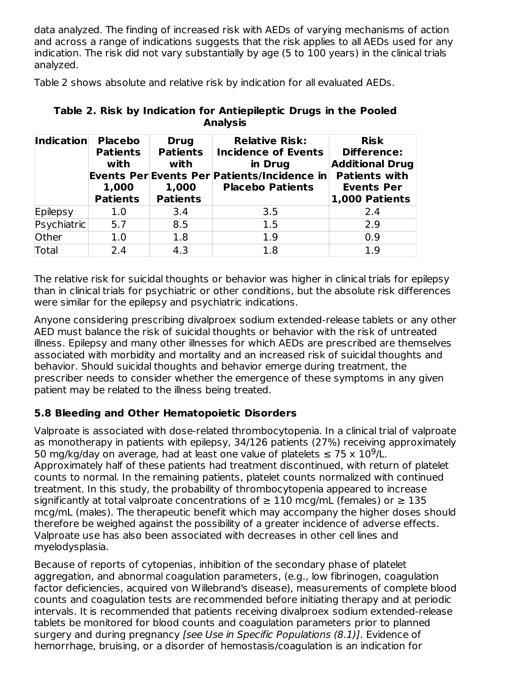data analyzed. The finding of increased risk with AEDs of varying mechanisms of action and across a range of indications suggests that the risk applies to all AEDs used for any indication. The risk did not vary substantially by age (5 to 100 years) in the clinical trials analyzed.

Table 2 shows absolute and relative risk by indication for all evaluated AEDs.

| Indication   | <b>Placebo</b><br><b>Patients</b><br>with<br>1,000<br><b>Patients</b> | <b>Drug</b><br><b>Patients</b><br>with<br>1,000<br><b>Patients</b> | <b>Relative Risk:</b><br><b>Incidence of Events</b><br>in Drug<br>Events Per Events Per Patients/Incidence in<br><b>Placebo Patients</b> | <b>Risk</b><br><b>Difference:</b><br><b>Additional Drug</b><br><b>Patients with</b><br><b>Events Per</b><br>1,000 Patients |
|--------------|-----------------------------------------------------------------------|--------------------------------------------------------------------|------------------------------------------------------------------------------------------------------------------------------------------|----------------------------------------------------------------------------------------------------------------------------|
| Epilepsy     | 1.0                                                                   | 3.4                                                                | 3.5                                                                                                                                      | 2.4                                                                                                                        |
| Psychiatric  | 5.7                                                                   | 8.5                                                                | 1.5                                                                                                                                      | 2.9                                                                                                                        |
| <b>Other</b> | 1.0                                                                   | 1.8                                                                | 1.9                                                                                                                                      | 0.9                                                                                                                        |
| Total        | 2.4                                                                   | 4.3                                                                | 1.8                                                                                                                                      | 1.9                                                                                                                        |

### **Table 2. Risk by Indication for Antiepileptic Drugs in the Pooled Analysis**

The relative risk for suicidal thoughts or behavior was higher in clinical trials for epilepsy than in clinical trials for psychiatric or other conditions, but the absolute risk differences were similar for the epilepsy and psychiatric indications.

Anyone considering prescribing divalproex sodium extended-release tablets or any other AED must balance the risk of suicidal thoughts or behavior with the risk of untreated illness. Epilepsy and many other illnesses for which AEDs are prescribed are themselves associated with morbidity and mortality and an increased risk of suicidal thoughts and behavior. Should suicidal thoughts and behavior emerge during treatment, the prescriber needs to consider whether the emergence of these symptoms in any given patient may be related to the illness being treated.

# **5.8 Bleeding and Other Hematopoietic Disorders**

Valproate is associated with dose-related thrombocytopenia. In a clinical trial of valproate as monotherapy in patients with epilepsy, 34/126 patients (27%) receiving approximately 50 mg/kg/day on average, had at least one value of platelets  $\leq 75 \times 10^9$ /L. Approximately half of these patients had treatment discontinued, with return of platelet counts to normal. In the remaining patients, platelet counts normalized with continued treatment. In this study, the probability of thrombocytopenia appeared to increase significantly at total valproate concentrations of  $\geq 110$  mcg/mL (females) or  $\geq 135$ mcg/mL (males). The therapeutic benefit which may accompany the higher doses should therefore be weighed against the possibility of a greater incidence of adverse effects. Valproate use has also been associated with decreases in other cell lines and myelodysplasia.

Because of reports of cytopenias, inhibition of the secondary phase of platelet aggregation, and abnormal coagulation parameters, (e.g., low fibrinogen, coagulation factor deficiencies, acquired von Willebrand's disease), measurements of complete blood counts and coagulation tests are recommended before initiating therapy and at periodic intervals. It is recommended that patients receiving divalproex sodium extended-release tablets be monitored for blood counts and coagulation parameters prior to planned surgery and during pregnancy [see Use in Specific Populations (8.1)]. Evidence of hemorrhage, bruising, or a disorder of hemostasis/coagulation is an indication for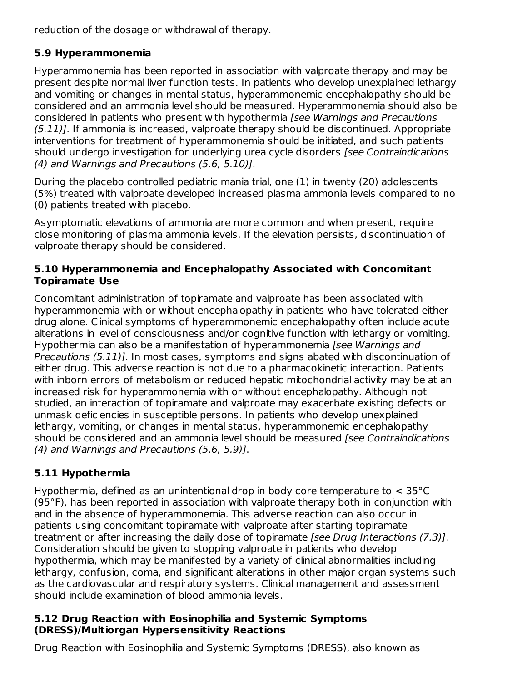reduction of the dosage or withdrawal of therapy.

# **5.9 Hyperammonemia**

Hyperammonemia has been reported in association with valproate therapy and may be present despite normal liver function tests. In patients who develop unexplained lethargy and vomiting or changes in mental status, hyperammonemic encephalopathy should be considered and an ammonia level should be measured. Hyperammonemia should also be considered in patients who present with hypothermia [see Warnings and Precautions (5.11)]. If ammonia is increased, valproate therapy should be discontinued. Appropriate interventions for treatment of hyperammonemia should be initiated, and such patients should undergo investigation for underlying urea cycle disorders [see Contraindications (4) and Warnings and Precautions (5.6, 5.10)].

During the placebo controlled pediatric mania trial, one (1) in twenty (20) adolescents (5%) treated with valproate developed increased plasma ammonia levels compared to no (0) patients treated with placebo.

Asymptomatic elevations of ammonia are more common and when present, require close monitoring of plasma ammonia levels. If the elevation persists, discontinuation of valproate therapy should be considered.

#### **5.10 Hyperammonemia and Encephalopathy Associated with Concomitant Topiramate Use**

Concomitant administration of topiramate and valproate has been associated with hyperammonemia with or without encephalopathy in patients who have tolerated either drug alone. Clinical symptoms of hyperammonemic encephalopathy often include acute alterations in level of consciousness and/or cognitive function with lethargy or vomiting. Hypothermia can also be a manifestation of hyperammonemia [see Warnings and Precautions (5.11)]. In most cases, symptoms and signs abated with discontinuation of either drug. This adverse reaction is not due to a pharmacokinetic interaction. Patients with inborn errors of metabolism or reduced hepatic mitochondrial activity may be at an increased risk for hyperammonemia with or without encephalopathy. Although not studied, an interaction of topiramate and valproate may exacerbate existing defects or unmask deficiencies in susceptible persons. In patients who develop unexplained lethargy, vomiting, or changes in mental status, hyperammonemic encephalopathy should be considered and an ammonia level should be measured [see Contraindications (4) and Warnings and Precautions (5.6, 5.9)].

# **5.11 Hypothermia**

Hypothermia, defined as an unintentional drop in body core temperature to < 35°C (95°F), has been reported in association with valproate therapy both in conjunction with and in the absence of hyperammonemia. This adverse reaction can also occur in patients using concomitant topiramate with valproate after starting topiramate treatment or after increasing the daily dose of topiramate [see Drug Interactions (7.3)]. Consideration should be given to stopping valproate in patients who develop hypothermia, which may be manifested by a variety of clinical abnormalities including lethargy, confusion, coma, and significant alterations in other major organ systems such as the cardiovascular and respiratory systems. Clinical management and assessment should include examination of blood ammonia levels.

#### **5.12 Drug Reaction with Eosinophilia and Systemic Symptoms (DRESS)/Multiorgan Hypersensitivity Reactions**

Drug Reaction with Eosinophilia and Systemic Symptoms (DRESS), also known as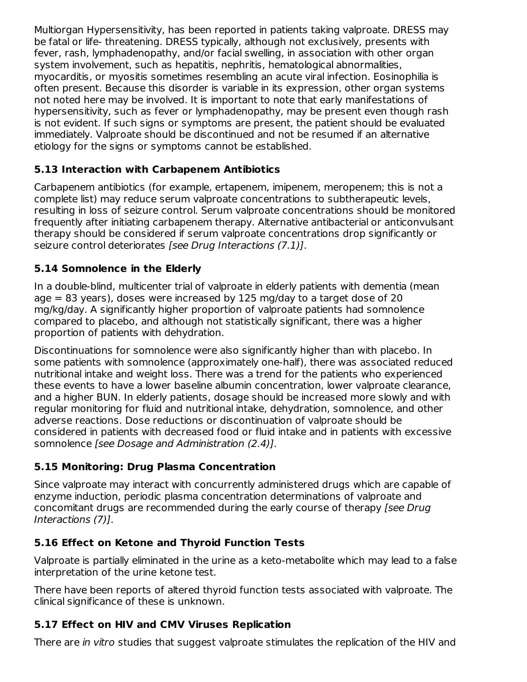Multiorgan Hypersensitivity, has been reported in patients taking valproate. DRESS may be fatal or life- threatening. DRESS typically, although not exclusively, presents with fever, rash, lymphadenopathy, and/or facial swelling, in association with other organ system involvement, such as hepatitis, nephritis, hematological abnormalities, myocarditis, or myositis sometimes resembling an acute viral infection. Eosinophilia is often present. Because this disorder is variable in its expression, other organ systems not noted here may be involved. It is important to note that early manifestations of hypersensitivity, such as fever or lymphadenopathy, may be present even though rash is not evident. If such signs or symptoms are present, the patient should be evaluated immediately. Valproate should be discontinued and not be resumed if an alternative etiology for the signs or symptoms cannot be established.

# **5.13 Interaction with Carbapenem Antibiotics**

Carbapenem antibiotics (for example, ertapenem, imipenem, meropenem; this is not a complete list) may reduce serum valproate concentrations to subtherapeutic levels, resulting in loss of seizure control. Serum valproate concentrations should be monitored frequently after initiating carbapenem therapy. Alternative antibacterial or anticonvulsant therapy should be considered if serum valproate concentrations drop significantly or seizure control deteriorates [see Drug Interactions (7.1)].

# **5.14 Somnolence in the Elderly**

In a double-blind, multicenter trial of valproate in elderly patients with dementia (mean age = 83 years), doses were increased by 125 mg/day to a target dose of 20 mg/kg/day. A significantly higher proportion of valproate patients had somnolence compared to placebo, and although not statistically significant, there was a higher proportion of patients with dehydration.

Discontinuations for somnolence were also significantly higher than with placebo. In some patients with somnolence (approximately one-half), there was associated reduced nutritional intake and weight loss. There was a trend for the patients who experienced these events to have a lower baseline albumin concentration, lower valproate clearance, and a higher BUN. In elderly patients, dosage should be increased more slowly and with regular monitoring for fluid and nutritional intake, dehydration, somnolence, and other adverse reactions. Dose reductions or discontinuation of valproate should be considered in patients with decreased food or fluid intake and in patients with excessive somnolence [see Dosage and Administration (2.4)].

# **5.15 Monitoring: Drug Plasma Concentration**

Since valproate may interact with concurrently administered drugs which are capable of enzyme induction, periodic plasma concentration determinations of valproate and concomitant drugs are recommended during the early course of therapy [see Drug Interactions (7)].

# **5.16 Effect on Ketone and Thyroid Function Tests**

Valproate is partially eliminated in the urine as a keto-metabolite which may lead to a false interpretation of the urine ketone test.

There have been reports of altered thyroid function tests associated with valproate. The clinical significance of these is unknown.

# **5.17 Effect on HIV and CMV Viruses Replication**

There are in vitro studies that suggest valproate stimulates the replication of the HIV and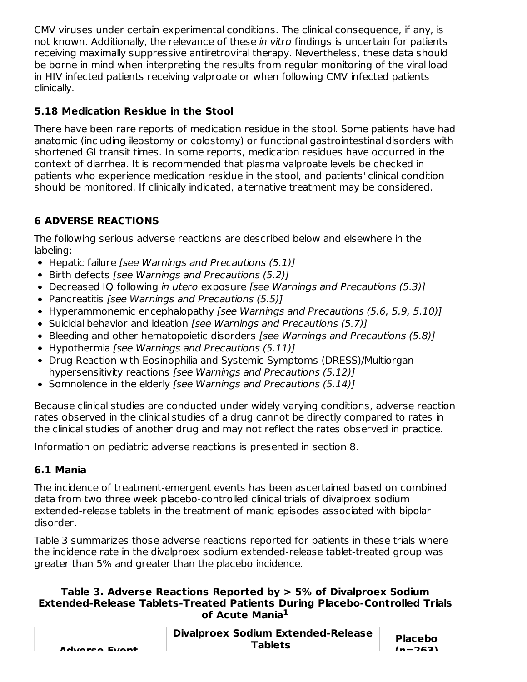CMV viruses under certain experimental conditions. The clinical consequence, if any, is not known. Additionally, the relevance of these in vitro findings is uncertain for patients receiving maximally suppressive antiretroviral therapy. Nevertheless, these data should be borne in mind when interpreting the results from regular monitoring of the viral load in HIV infected patients receiving valproate or when following CMV infected patients clinically.

# **5.18 Medication Residue in the Stool**

There have been rare reports of medication residue in the stool. Some patients have had anatomic (including ileostomy or colostomy) or functional gastrointestinal disorders with shortened GI transit times. In some reports, medication residues have occurred in the context of diarrhea. It is recommended that plasma valproate levels be checked in patients who experience medication residue in the stool, and patients' clinical condition should be monitored. If clinically indicated, alternative treatment may be considered.

# **6 ADVERSE REACTIONS**

The following serious adverse reactions are described below and elsewhere in the labeling:

- Hepatic failure [see Warnings and Precautions (5.1)]
- Birth defects [see Warnings and Precautions (5.2)]
- Decreased IQ following *in utero* exposure *[see Warnings and Precautions (5.3)]*
- Pancreatitis [see Warnings and Precautions (5.5)]
- Hyperammonemic encephalopathy [see Warnings and Precautions (5.6, 5.9, 5.10)]
- Suicidal behavior and ideation [see Warnings and Precautions (5.7)]
- Bleeding and other hematopoietic disorders [see Warnings and Precautions (5.8)]
- Hypothermia [see Warnings and Precautions (5.11)]
- Drug Reaction with Eosinophilia and Systemic Symptoms (DRESS)/Multiorgan hypersensitivity reactions [see Warnings and Precautions (5.12)]
- Somnolence in the elderly [see Warnings and Precautions (5.14)]

Because clinical studies are conducted under widely varying conditions, adverse reaction rates observed in the clinical studies of a drug cannot be directly compared to rates in the clinical studies of another drug and may not reflect the rates observed in practice.

Information on pediatric adverse reactions is presented in section 8.

# **6.1 Mania**

The incidence of treatment-emergent events has been ascertained based on combined data from two three week placebo-controlled clinical trials of divalproex sodium extended-release tablets in the treatment of manic episodes associated with bipolar disorder.

Table 3 summarizes those adverse reactions reported for patients in these trials where the incidence rate in the divalproex sodium extended-release tablet-treated group was greater than 5% and greater than the placebo incidence.

#### **Table 3. Adverse Reactions Reported by > 5% of Divalproex Sodium Extended-Release Tablets-Treated Patients During Placebo-Controlled Trials of Acute Mania 1**

| Advarca Evant | <b>Divalproex Sodium Extended-Release</b><br><b>Tablets</b> | <b>Placebo</b><br>$(n - 262)$ |
|---------------|-------------------------------------------------------------|-------------------------------|
|---------------|-------------------------------------------------------------|-------------------------------|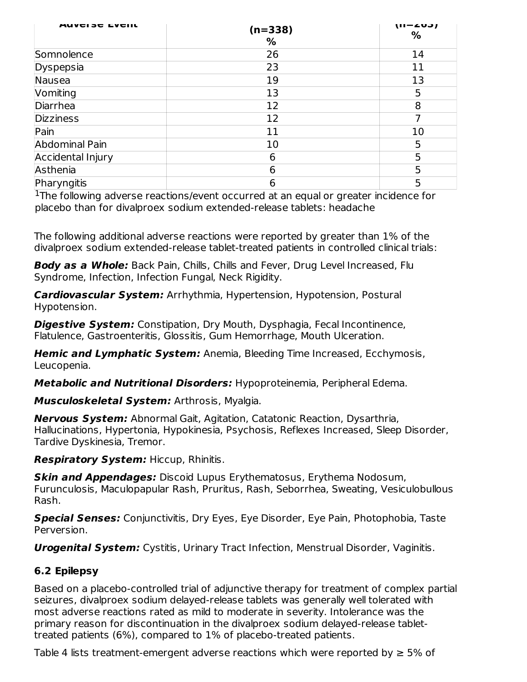| <b>AUVEISE EVEIIL</b> | $(n=338)$<br>% | $(II - 203)$<br>% |
|-----------------------|----------------|-------------------|
| Somnolence            | 26             | 14                |
| Dyspepsia             | 23             | 11                |
| Nausea                | 19             | 13                |
| Vomiting              | 13             | 5                 |
| Diarrhea              | 12             | 8                 |
| <b>Dizziness</b>      | 12             | 7                 |
| Pain                  | 11             | 10                |
| Abdominal Pain        | 10             | 5                 |
| Accidental Injury     | 6              | 5                 |
| Asthenia              | 6              | 5                 |
| Pharyngitis           | 6              | 5                 |

<sup>1</sup>The following adverse reactions/event occurred at an equal or greater incidence for placebo than for divalproex sodium extended-release tablets: headache

The following additional adverse reactions were reported by greater than 1% of the divalproex sodium extended-release tablet-treated patients in controlled clinical trials:

**Body as a Whole:** Back Pain, Chills, Chills and Fever, Drug Level Increased, Flu Syndrome, Infection, Infection Fungal, Neck Rigidity.

**Cardiovascular System:** Arrhythmia, Hypertension, Hypotension, Postural Hypotension.

**Digestive System:** Constipation, Dry Mouth, Dysphagia, Fecal Incontinence, Flatulence, Gastroenteritis, Glossitis, Gum Hemorrhage, Mouth Ulceration.

**Hemic and Lymphatic System:** Anemia, Bleeding Time Increased, Ecchymosis, Leucopenia.

**Metabolic and Nutritional Disorders:** Hypoproteinemia, Peripheral Edema.

**Musculoskeletal System:** Arthrosis, Myalgia.

**Nervous System:** Abnormal Gait, Agitation, Catatonic Reaction, Dysarthria, Hallucinations, Hypertonia, Hypokinesia, Psychosis, Reflexes Increased, Sleep Disorder, Tardive Dyskinesia, Tremor.

**Respiratory System:** Hiccup, Rhinitis.

**Skin and Appendages:** Discoid Lupus Erythematosus, Erythema Nodosum, Furunculosis, Maculopapular Rash, Pruritus, Rash, Seborrhea, Sweating, Vesiculobullous Rash.

**Special Senses:** Conjunctivitis, Dry Eyes, Eye Disorder, Eye Pain, Photophobia, Taste Perversion.

**Urogenital System:** Cystitis, Urinary Tract Infection, Menstrual Disorder, Vaginitis.

# **6.2 Epilepsy**

Based on a placebo-controlled trial of adjunctive therapy for treatment of complex partial seizures, divalproex sodium delayed-release tablets was generally well tolerated with most adverse reactions rated as mild to moderate in severity. Intolerance was the primary reason for discontinuation in the divalproex sodium delayed-release tablettreated patients (6%), compared to 1% of placebo-treated patients.

Table 4 lists treatment-emergent adverse reactions which were reported by  $\geq 5\%$  of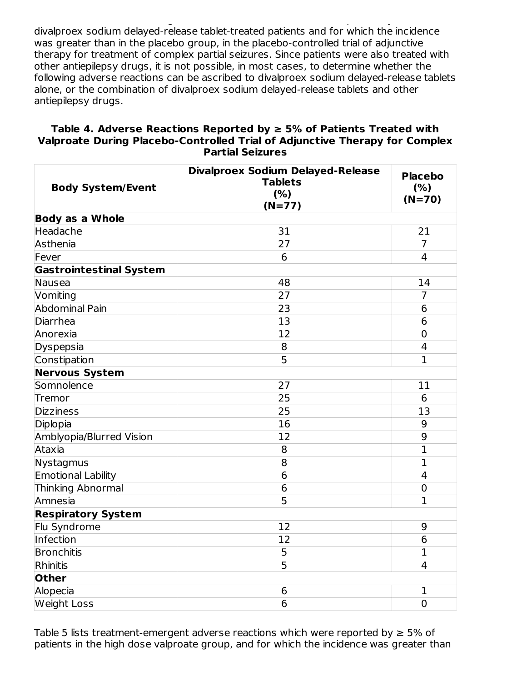$T$ able 4 lists treatment-emergent adverse reactions which were reactions which were reported by  $\mathbb{R}$ divalproex sodium delayed-release tablet-treated patients and for which the incidence was greater than in the placebo group, in the placebo-controlled trial of adjunctive therapy for treatment of complex partial seizures. Since patients were also treated with other antiepilepsy drugs, it is not possible, in most cases, to determine whether the following adverse reactions can be ascribed to divalproex sodium delayed-release tablets alone, or the combination of divalproex sodium delayed-release tablets and other antiepilepsy drugs.

#### **Table 4. Adverse Reactions Reported by ≥ 5% of Patients Treated with Valproate During Placebo-Controlled Trial of Adjunctive Therapy for Complex Partial Seizures**

| <b>Body System/Event</b>       | <b>Divalproex Sodium Delayed-Release</b><br><b>Tablets</b><br>(% )<br>$(N=77)$ | <b>Placebo</b><br>(% )<br>$(N=70)$ |
|--------------------------------|--------------------------------------------------------------------------------|------------------------------------|
| <b>Body as a Whole</b>         |                                                                                |                                    |
| Headache                       | 31                                                                             | 21                                 |
| Asthenia                       | 27                                                                             | $\overline{7}$                     |
| Fever                          | 6                                                                              | $\overline{4}$                     |
| <b>Gastrointestinal System</b> |                                                                                |                                    |
| Nausea                         | 48                                                                             | 14                                 |
| Vomiting                       | 27                                                                             | 7                                  |
| Abdominal Pain                 | 23                                                                             | $6\phantom{1}6$                    |
| Diarrhea                       | 13                                                                             | 6                                  |
| Anorexia                       | 12                                                                             | $\overline{0}$                     |
| Dyspepsia                      | 8                                                                              | $\overline{\mathbf{4}}$            |
| Constipation                   | 5                                                                              | $\mathbf{1}$                       |
| <b>Nervous System</b>          |                                                                                |                                    |
| Somnolence                     | 27                                                                             | 11                                 |
| Tremor                         | 25                                                                             | 6                                  |
| <b>Dizziness</b>               | 25                                                                             | 13                                 |
| Diplopia                       | 16                                                                             | 9                                  |
| Amblyopia/Blurred Vision       | 12                                                                             | 9                                  |
| Ataxia                         | 8                                                                              | $\overline{1}$                     |
| Nystagmus                      | 8                                                                              | $\mathbf 1$                        |
| Emotional Lability             | 6                                                                              | $\overline{4}$                     |
| <b>Thinking Abnormal</b>       | 6                                                                              | $\overline{0}$                     |
| Amnesia                        | 5                                                                              | $\mathbf{1}$                       |
| <b>Respiratory System</b>      |                                                                                |                                    |
| Flu Syndrome                   | 12                                                                             | 9                                  |
| Infection                      | 12                                                                             | 6                                  |
| <b>Bronchitis</b>              | 5                                                                              | $\mathbf 1$                        |
| Rhinitis                       | 5                                                                              | $\overline{4}$                     |
| Other                          |                                                                                |                                    |
| Alopecia                       | 6                                                                              | 1                                  |
| <b>Weight Loss</b>             | 6                                                                              | $\overline{0}$                     |

Table 5 lists treatment-emergent adverse reactions which were reported by  $\geq 5\%$  of patients in the high dose valproate group, and for which the incidence was greater than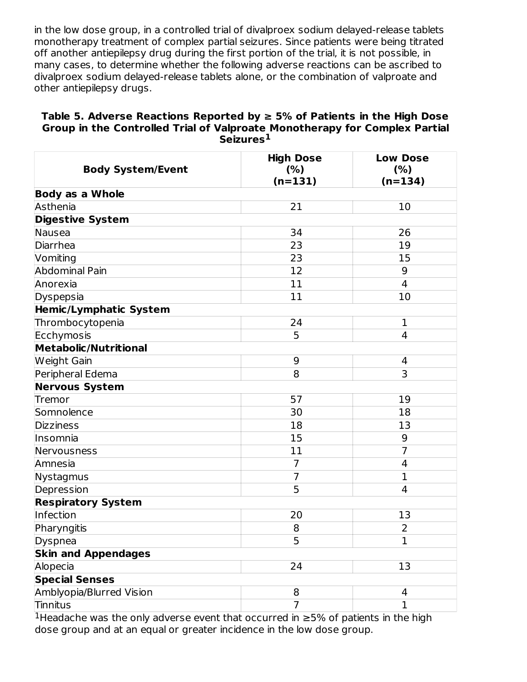in the low dose group, in a controlled trial of divalproex sodium delayed-release tablets monotherapy treatment of complex partial seizures. Since patients were being titrated off another antiepilepsy drug during the first portion of the trial, it is not possible, in many cases, to determine whether the following adverse reactions can be ascribed to divalproex sodium delayed-release tablets alone, or the combination of valproate and other antiepilepsy drugs.

#### **Table 5. Adverse Reactions Reported by ≥ 5% of Patients in the High Dose Group in the Controlled Trial of Valproate Monotherapy for Complex Partial Seizures 1**

| <b>Body System/Event</b>     | <b>High Dose</b><br>(% )<br>$(n=131)$ | <b>Low Dose</b><br>(% )<br>$(n=134)$ |
|------------------------------|---------------------------------------|--------------------------------------|
| <b>Body as a Whole</b>       |                                       |                                      |
| Asthenia                     | 21                                    | 10                                   |
| <b>Digestive System</b>      |                                       |                                      |
| Nausea                       | 34                                    | 26                                   |
| Diarrhea                     | 23                                    | 19                                   |
| Vomiting                     | 23                                    | 15                                   |
| <b>Abdominal Pain</b>        | 12                                    | 9                                    |
| Anorexia                     | 11                                    | 4                                    |
| Dyspepsia                    | 11                                    | 10                                   |
| Hemic/Lymphatic System       |                                       |                                      |
| Thrombocytopenia             | 24                                    | $\mathbf{1}$                         |
| Ecchymosis                   | 5                                     | 4                                    |
| <b>Metabolic/Nutritional</b> |                                       |                                      |
| Weight Gain                  | 9                                     | 4                                    |
| Peripheral Edema             | 8                                     | 3                                    |
| <b>Nervous System</b>        |                                       |                                      |
| Tremor                       | 57                                    | 19                                   |
| Somnolence                   | 30                                    | 18                                   |
| <b>Dizziness</b>             | 18                                    | 13                                   |
| Insomnia                     | 15                                    | 9                                    |
| Nervousness                  | 11                                    | $\overline{7}$                       |
| Amnesia                      | 7                                     | 4                                    |
| Nystagmus                    | $\overline{7}$                        | $\mathbf{1}$                         |
| Depression                   | 5                                     | 4                                    |
| <b>Respiratory System</b>    |                                       |                                      |
| Infection                    | 20                                    | 13                                   |
| Pharyngitis                  | 8                                     | $\overline{2}$                       |
| Dyspnea                      | 5                                     | $\mathbf 1$                          |
| <b>Skin and Appendages</b>   |                                       |                                      |
| Alopecia                     | 24                                    | 13                                   |
| <b>Special Senses</b>        |                                       |                                      |
| Amblyopia/Blurred Vision     | 8                                     | 4                                    |
| Tinnitus                     | $\overline{7}$                        | $\mathbf{1}$                         |

<sup>1</sup>Headache was the only adverse event that occurred in  $\geq$ 5% of patients in the high dose group and at an equal or greater incidence in the low dose group.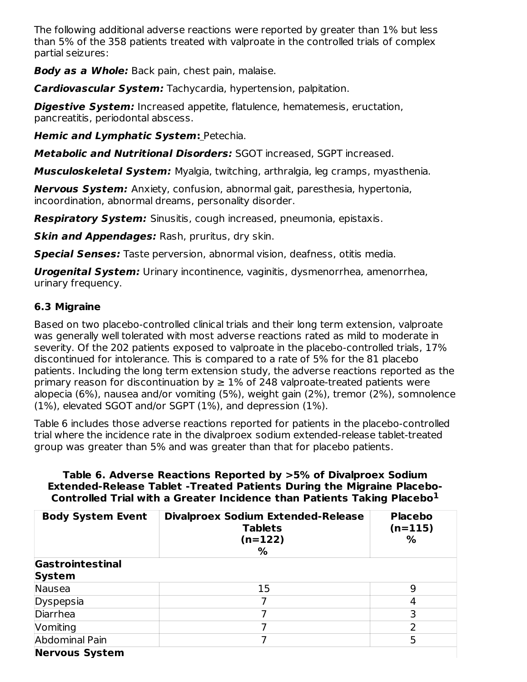The following additional adverse reactions were reported by greater than 1% but less than 5% of the 358 patients treated with valproate in the controlled trials of complex partial seizures:

**Body as a Whole:** Back pain, chest pain, malaise.

**Cardiovascular System:** Tachycardia, hypertension, palpitation.

**Digestive System:** Increased appetite, flatulence, hematemesis, eructation, pancreatitis, periodontal abscess.

**Hemic and Lymphatic System:** Petechia.

**Metabolic and Nutritional Disorders:** SGOT increased, SGPT increased.

**Musculoskeletal System:** Myalgia, twitching, arthralgia, leg cramps, myasthenia.

**Nervous System:** Anxiety, confusion, abnormal gait, paresthesia, hypertonia, incoordination, abnormal dreams, personality disorder.

**Respiratory System:** Sinusitis, cough increased, pneumonia, epistaxis.

**Skin and Appendages:** Rash, pruritus, dry skin.

**Special Senses:** Taste perversion, abnormal vision, deafness, otitis media.

**Urogenital System:** Urinary incontinence, vaginitis, dysmenorrhea, amenorrhea, urinary frequency.

# **6.3 Migraine**

Based on two placebo-controlled clinical trials and their long term extension, valproate was generally well tolerated with most adverse reactions rated as mild to moderate in severity. Of the 202 patients exposed to valproate in the placebo-controlled trials, 17% discontinued for intolerance. This is compared to a rate of 5% for the 81 placebo patients. Including the long term extension study, the adverse reactions reported as the primary reason for discontinuation by  $\geq$  1% of 248 valproate-treated patients were alopecia (6%), nausea and/or vomiting (5%), weight gain (2%), tremor (2%), somnolence (1%), elevated SGOT and/or SGPT (1%), and depression (1%).

Table 6 includes those adverse reactions reported for patients in the placebo-controlled trial where the incidence rate in the divalproex sodium extended-release tablet-treated group was greater than 5% and was greater than that for placebo patients.

#### **Table 6. Adverse Reactions Reported by >5% of Divalproex Sodium Extended-Release Tablet -Treated Patients During the Migraine Placebo-Controlled Trial with a Greater Incidence than Patients Taking Placebo 1**

| <b>Body System Event</b> | <b>Divalproex Sodium Extended-Release</b><br><b>Tablets</b><br>(n=122)<br>℅ | <b>Placebo</b><br>$(n=115)$<br>% |
|--------------------------|-----------------------------------------------------------------------------|----------------------------------|
| Gastrointestinal         |                                                                             |                                  |
| System                   |                                                                             |                                  |
| Nausea                   | 15                                                                          | 9                                |
| Dyspepsia                |                                                                             | 4                                |
| Diarrhea                 |                                                                             | 3                                |
| Vomiting                 |                                                                             | ว                                |
| Abdominal Pain           | ⇁                                                                           | 5                                |
| <b>Nervous System</b>    |                                                                             |                                  |

**Nervous System**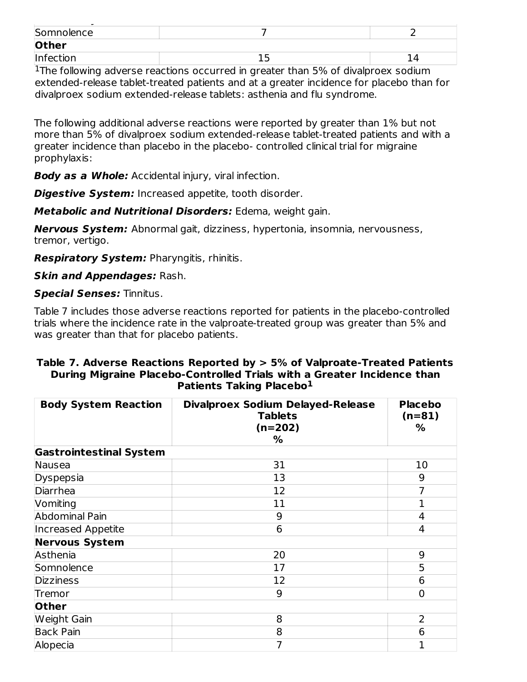| $\overline{\phantom{a}}$ |  |
|--------------------------|--|
| Somnolence               |  |
| Other                    |  |
| Infection                |  |
|                          |  |

<sup>1</sup>The following adverse reactions occurred in greater than 5% of divalproex sodium extended-release tablet-treated patients and at a greater incidence for placebo than for divalproex sodium extended-release tablets: asthenia and flu syndrome.

The following additional adverse reactions were reported by greater than 1% but not more than 5% of divalproex sodium extended-release tablet-treated patients and with a greater incidence than placebo in the placebo- controlled clinical trial for migraine prophylaxis:

**Body as a Whole:** Accidental injury, viral infection.

**Digestive System:** Increased appetite, tooth disorder.

**Metabolic and Nutritional Disorders:** Edema, weight gain.

**Nervous System:** Abnormal gait, dizziness, hypertonia, insomnia, nervousness, tremor, vertigo.

**Respiratory System:** Pharyngitis, rhinitis.

**Skin and Appendages:** Rash.

**Special Senses:** Tinnitus.

Table 7 includes those adverse reactions reported for patients in the placebo-controlled trials where the incidence rate in the valproate-treated group was greater than 5% and was greater than that for placebo patients.

#### **Table 7. Adverse Reactions Reported by > 5% of Valproate-Treated Patients During Migraine Placebo-Controlled Trials with a Greater Incidence than Patients Taking Placebo 1**

| <b>Body System Reaction</b>    | <b>Divalproex Sodium Delayed-Release</b><br><b>Tablets</b><br>$(n=202)$<br>% | <b>Placebo</b><br>$(n=81)$<br>% |
|--------------------------------|------------------------------------------------------------------------------|---------------------------------|
| <b>Gastrointestinal System</b> |                                                                              |                                 |
| Nausea                         | 31                                                                           | 10                              |
| Dyspepsia                      | 13                                                                           | 9                               |
| Diarrhea                       | 12                                                                           | 7                               |
| Vomiting                       | 11                                                                           | 1                               |
| Abdominal Pain                 | 9                                                                            | 4                               |
| <b>Increased Appetite</b>      | 6                                                                            | 4                               |
| <b>Nervous System</b>          |                                                                              |                                 |
| Asthenia                       | 20                                                                           | 9                               |
| Somnolence                     | 17                                                                           | 5                               |
| <b>Dizziness</b>               | 12                                                                           | 6                               |
| Tremor                         | 9                                                                            | $\overline{0}$                  |
| Other                          |                                                                              |                                 |
| <b>Weight Gain</b>             | 8                                                                            | $\overline{2}$                  |
| <b>Back Pain</b>               | 8                                                                            | 6                               |
| Alopecia                       | 7                                                                            | 1                               |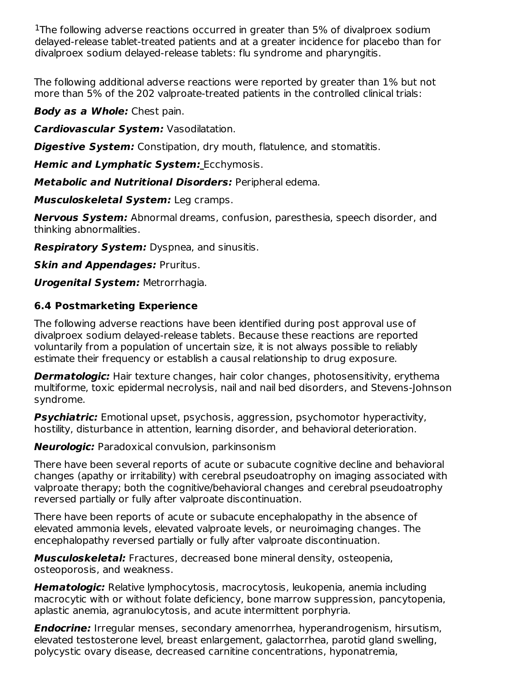<sup>1</sup>The following adverse reactions occurred in greater than 5% of divalproex sodium delayed-release tablet-treated patients and at a greater incidence for placebo than for divalproex sodium delayed-release tablets: flu syndrome and pharyngitis.

The following additional adverse reactions were reported by greater than 1% but not more than 5% of the 202 valproate-treated patients in the controlled clinical trials:

**Body as a Whole:** Chest pain.

**Cardiovascular System:** Vasodilatation.

**Digestive System:** Constipation, dry mouth, flatulence, and stomatitis.

**Hemic and Lymphatic System:** Ecchymosis.

**Metabolic and Nutritional Disorders:** Peripheral edema.

**Musculoskeletal System:** Leg cramps.

**Nervous System:** Abnormal dreams, confusion, paresthesia, speech disorder, and thinking abnormalities.

**Respiratory System:** Dyspnea, and sinusitis.

**Skin and Appendages:** Pruritus.

**Urogenital System:** Metrorrhagia.

# **6.4 Postmarketing Experience**

The following adverse reactions have been identified during post approval use of divalproex sodium delayed-release tablets. Because these reactions are reported voluntarily from a population of uncertain size, it is not always possible to reliably estimate their frequency or establish a causal relationship to drug exposure.

**Dermatologic:** Hair texture changes, hair color changes, photosensitivity, erythema multiforme, toxic epidermal necrolysis, nail and nail bed disorders, and Stevens-Johnson syndrome.

**Psychiatric:** Emotional upset, psychosis, aggression, psychomotor hyperactivity, hostility, disturbance in attention, learning disorder, and behavioral deterioration.

**Neurologic:** Paradoxical convulsion, parkinsonism

There have been several reports of acute or subacute cognitive decline and behavioral changes (apathy or irritability) with cerebral pseudoatrophy on imaging associated with valproate therapy; both the cognitive/behavioral changes and cerebral pseudoatrophy reversed partially or fully after valproate discontinuation.

There have been reports of acute or subacute encephalopathy in the absence of elevated ammonia levels, elevated valproate levels, or neuroimaging changes. The encephalopathy reversed partially or fully after valproate discontinuation.

**Musculoskeletal:** Fractures, decreased bone mineral density, osteopenia, osteoporosis, and weakness.

**Hematologic:** Relative lymphocytosis, macrocytosis, leukopenia, anemia including macrocytic with or without folate deficiency, bone marrow suppression, pancytopenia, aplastic anemia, agranulocytosis, and acute intermittent porphyria.

**Endocrine:** Irregular menses, secondary amenorrhea, hyperandrogenism, hirsutism, elevated testosterone level, breast enlargement, galactorrhea, parotid gland swelling, polycystic ovary disease, decreased carnitine concentrations, hyponatremia,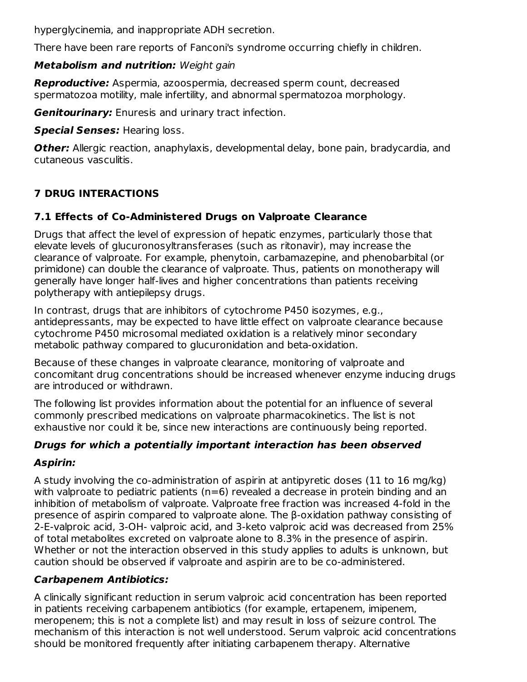hyperglycinemia, and inappropriate ADH secretion.

There have been rare reports of Fanconi's syndrome occurring chiefly in children.

# **Metabolism and nutrition:** Weight gain

**Reproductive:** Aspermia, azoospermia, decreased sperm count, decreased spermatozoa motility, male infertility, and abnormal spermatozoa morphology.

**Genitourinary:** Enuresis and urinary tract infection.

**Special Senses:** Hearing loss.

**Other:** Allergic reaction, anaphylaxis, developmental delay, bone pain, bradycardia, and cutaneous vasculitis.

# **7 DRUG INTERACTIONS**

# **7.1 Effects of Co-Administered Drugs on Valproate Clearance**

Drugs that affect the level of expression of hepatic enzymes, particularly those that elevate levels of glucuronosyltransferases (such as ritonavir), may increase the clearance of valproate. For example, phenytoin, carbamazepine, and phenobarbital (or primidone) can double the clearance of valproate. Thus, patients on monotherapy will generally have longer half-lives and higher concentrations than patients receiving polytherapy with antiepilepsy drugs.

In contrast, drugs that are inhibitors of cytochrome P450 isozymes, e.g., antidepressants, may be expected to have little effect on valproate clearance because cytochrome P450 microsomal mediated oxidation is a relatively minor secondary metabolic pathway compared to glucuronidation and beta-oxidation.

Because of these changes in valproate clearance, monitoring of valproate and concomitant drug concentrations should be increased whenever enzyme inducing drugs are introduced or withdrawn.

The following list provides information about the potential for an influence of several commonly prescribed medications on valproate pharmacokinetics. The list is not exhaustive nor could it be, since new interactions are continuously being reported.

# **Drugs for which a potentially important interaction has been observed**

# **Aspirin:**

A study involving the co-administration of aspirin at antipyretic doses (11 to 16 mg/kg) with valproate to pediatric patients  $(n=6)$  revealed a decrease in protein binding and an inhibition of metabolism of valproate. Valproate free fraction was increased 4-fold in the presence of aspirin compared to valproate alone. The β-oxidation pathway consisting of 2-E-valproic acid, 3-OH- valproic acid, and 3-keto valproic acid was decreased from 25% of total metabolites excreted on valproate alone to 8.3% in the presence of aspirin. Whether or not the interaction observed in this study applies to adults is unknown, but caution should be observed if valproate and aspirin are to be co-administered.

# **Carbapenem Antibiotics:**

A clinically significant reduction in serum valproic acid concentration has been reported in patients receiving carbapenem antibiotics (for example, ertapenem, imipenem, meropenem; this is not a complete list) and may result in loss of seizure control. The mechanism of this interaction is not well understood. Serum valproic acid concentrations should be monitored frequently after initiating carbapenem therapy. Alternative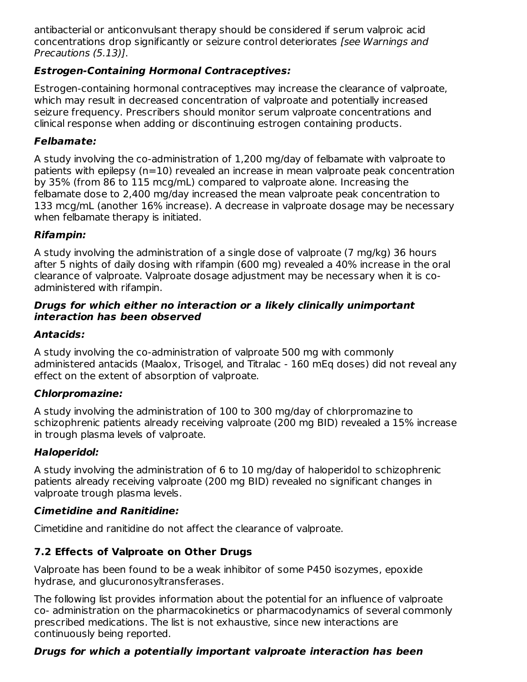antibacterial or anticonvulsant therapy should be considered if serum valproic acid concentrations drop significantly or seizure control deteriorates [see Warnings and Precautions (5.13)].

# **Estrogen-Containing Hormonal Contraceptives:**

Estrogen-containing hormonal contraceptives may increase the clearance of valproate, which may result in decreased concentration of valproate and potentially increased seizure frequency. Prescribers should monitor serum valproate concentrations and clinical response when adding or discontinuing estrogen containing products.

#### **Felbamate:**

A study involving the co-administration of 1,200 mg/day of felbamate with valproate to patients with epilepsy (n=10) revealed an increase in mean valproate peak concentration by 35% (from 86 to 115 mcg/mL) compared to valproate alone. Increasing the felbamate dose to 2,400 mg/day increased the mean valproate peak concentration to 133 mcg/mL (another 16% increase). A decrease in valproate dosage may be necessary when felbamate therapy is initiated.

### **Rifampin:**

A study involving the administration of a single dose of valproate (7 mg/kg) 36 hours after 5 nights of daily dosing with rifampin (600 mg) revealed a 40% increase in the oral clearance of valproate. Valproate dosage adjustment may be necessary when it is coadministered with rifampin.

#### **Drugs for which either no interaction or a likely clinically unimportant interaction has been observed**

#### **Antacids:**

A study involving the co-administration of valproate 500 mg with commonly administered antacids (Maalox, Trisogel, and Titralac - 160 mEq doses) did not reveal any effect on the extent of absorption of valproate.

### **Chlorpromazine:**

A study involving the administration of 100 to 300 mg/day of chlorpromazine to schizophrenic patients already receiving valproate (200 mg BID) revealed a 15% increase in trough plasma levels of valproate.

### **Haloperidol:**

A study involving the administration of 6 to 10 mg/day of haloperidol to schizophrenic patients already receiving valproate (200 mg BID) revealed no significant changes in valproate trough plasma levels.

#### **Cimetidine and Ranitidine:**

Cimetidine and ranitidine do not affect the clearance of valproate.

### **7.2 Effects of Valproate on Other Drugs**

Valproate has been found to be a weak inhibitor of some P450 isozymes, epoxide hydrase, and glucuronosyltransferases.

The following list provides information about the potential for an influence of valproate co- administration on the pharmacokinetics or pharmacodynamics of several commonly prescribed medications. The list is not exhaustive, since new interactions are continuously being reported.

### **Drugs for which a potentially important valproate interaction has been**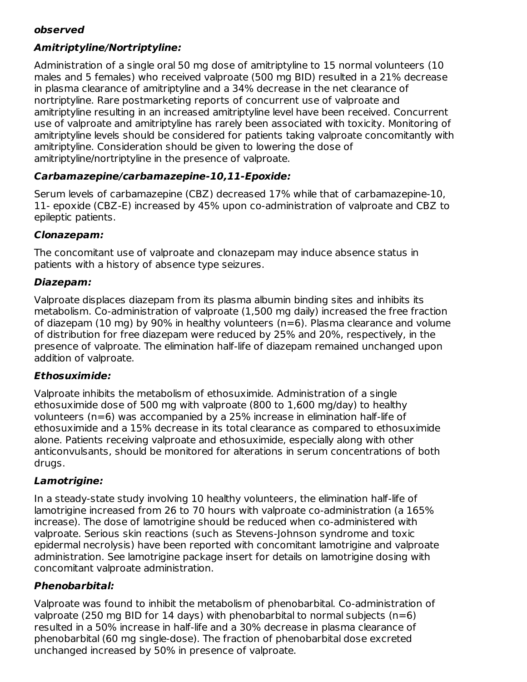#### **observed**

# **Amitriptyline/Nortriptyline:**

Administration of a single oral 50 mg dose of amitriptyline to 15 normal volunteers (10 males and 5 females) who received valproate (500 mg BID) resulted in a 21% decrease in plasma clearance of amitriptyline and a 34% decrease in the net clearance of nortriptyline. Rare postmarketing reports of concurrent use of valproate and amitriptyline resulting in an increased amitriptyline level have been received. Concurrent use of valproate and amitriptyline has rarely been associated with toxicity. Monitoring of amitriptyline levels should be considered for patients taking valproate concomitantly with amitriptyline. Consideration should be given to lowering the dose of amitriptyline/nortriptyline in the presence of valproate.

### **Carbamazepine/carbamazepine-10,11-Epoxide:**

Serum levels of carbamazepine (CBZ) decreased 17% while that of carbamazepine-10, 11- epoxide (CBZ-E) increased by 45% upon co-administration of valproate and CBZ to epileptic patients.

#### **Clonazepam:**

The concomitant use of valproate and clonazepam may induce absence status in patients with a history of absence type seizures.

#### **Diazepam:**

Valproate displaces diazepam from its plasma albumin binding sites and inhibits its metabolism. Co-administration of valproate (1,500 mg daily) increased the free fraction of diazepam (10 mg) by 90% in healthy volunteers (n=6). Plasma clearance and volume of distribution for free diazepam were reduced by 25% and 20%, respectively, in the presence of valproate. The elimination half-life of diazepam remained unchanged upon addition of valproate.

#### **Ethosuximide:**

Valproate inhibits the metabolism of ethosuximide. Administration of a single ethosuximide dose of 500 mg with valproate (800 to 1,600 mg/day) to healthy volunteers (n=6) was accompanied by a 25% increase in elimination half-life of ethosuximide and a 15% decrease in its total clearance as compared to ethosuximide alone. Patients receiving valproate and ethosuximide, especially along with other anticonvulsants, should be monitored for alterations in serum concentrations of both drugs.

### **Lamotrigine:**

In a steady-state study involving 10 healthy volunteers, the elimination half-life of lamotrigine increased from 26 to 70 hours with valproate co-administration (a 165% increase). The dose of lamotrigine should be reduced when co-administered with valproate. Serious skin reactions (such as Stevens-Johnson syndrome and toxic epidermal necrolysis) have been reported with concomitant lamotrigine and valproate administration. See lamotrigine package insert for details on lamotrigine dosing with concomitant valproate administration.

### **Phenobarbital:**

Valproate was found to inhibit the metabolism of phenobarbital. Co-administration of valproate (250 mg BID for 14 days) with phenobarbital to normal subjects ( $n=6$ ) resulted in a 50% increase in half-life and a 30% decrease in plasma clearance of phenobarbital (60 mg single-dose). The fraction of phenobarbital dose excreted unchanged increased by 50% in presence of valproate.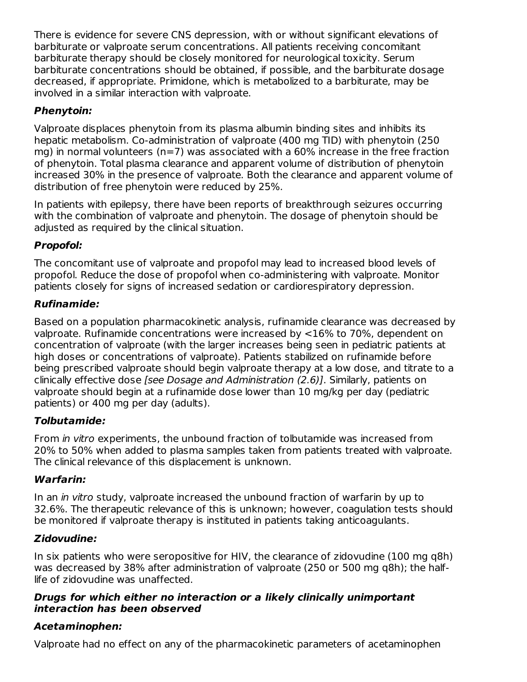There is evidence for severe CNS depression, with or without significant elevations of barbiturate or valproate serum concentrations. All patients receiving concomitant barbiturate therapy should be closely monitored for neurological toxicity. Serum barbiturate concentrations should be obtained, if possible, and the barbiturate dosage decreased, if appropriate. Primidone, which is metabolized to a barbiturate, may be involved in a similar interaction with valproate.

# **Phenytoin:**

Valproate displaces phenytoin from its plasma albumin binding sites and inhibits its hepatic metabolism. Co-administration of valproate (400 mg TID) with phenytoin (250 mg) in normal volunteers ( $n=7$ ) was associated with a 60% increase in the free fraction of phenytoin. Total plasma clearance and apparent volume of distribution of phenytoin increased 30% in the presence of valproate. Both the clearance and apparent volume of distribution of free phenytoin were reduced by 25%.

In patients with epilepsy, there have been reports of breakthrough seizures occurring with the combination of valproate and phenytoin. The dosage of phenytoin should be adjusted as required by the clinical situation.

# **Propofol:**

The concomitant use of valproate and propofol may lead to increased blood levels of propofol. Reduce the dose of propofol when co-administering with valproate. Monitor patients closely for signs of increased sedation or cardiorespiratory depression.

# **Rufinamide:**

Based on a population pharmacokinetic analysis, rufinamide clearance was decreased by valproate. Rufinamide concentrations were increased by <16% to 70%, dependent on concentration of valproate (with the larger increases being seen in pediatric patients at high doses or concentrations of valproate). Patients stabilized on rufinamide before being prescribed valproate should begin valproate therapy at a low dose, and titrate to a clinically effective dose [see Dosage and Administration (2.6)]. Similarly, patients on valproate should begin at a rufinamide dose lower than 10 mg/kg per day (pediatric patients) or 400 mg per day (adults).

# **Tolbutamide:**

From *in vitro* experiments, the unbound fraction of tolbutamide was increased from 20% to 50% when added to plasma samples taken from patients treated with valproate. The clinical relevance of this displacement is unknown.

# **Warfarin:**

In an *in vitro* study, valproate increased the unbound fraction of warfarin by up to 32.6%. The therapeutic relevance of this is unknown; however, coagulation tests should be monitored if valproate therapy is instituted in patients taking anticoagulants.

# **Zidovudine:**

In six patients who were seropositive for HIV, the clearance of zidovudine (100 mg q8h) was decreased by 38% after administration of valproate (250 or 500 mg q8h); the halflife of zidovudine was unaffected.

### **Drugs for which either no interaction or a likely clinically unimportant interaction has been observed**

# **Acetaminophen:**

Valproate had no effect on any of the pharmacokinetic parameters of acetaminophen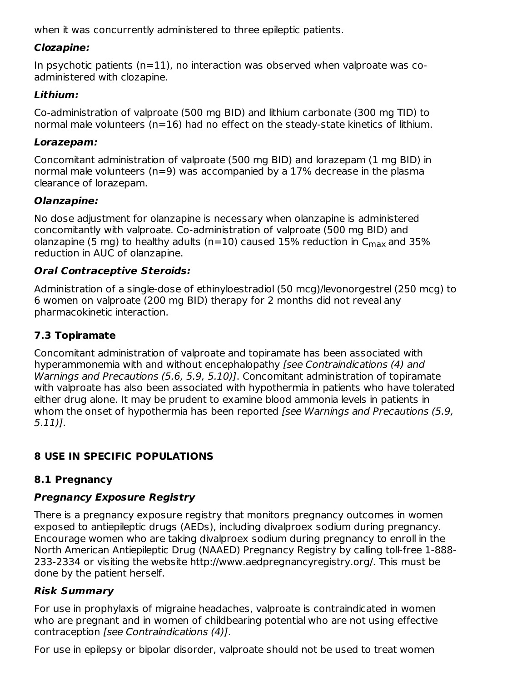when it was concurrently administered to three epileptic patients.

# **Clozapine:**

In psychotic patients  $(n=11)$ , no interaction was observed when valproate was coadministered with clozapine.

### **Lithium:**

Co-administration of valproate (500 mg BID) and lithium carbonate (300 mg TID) to normal male volunteers ( $n=16$ ) had no effect on the steady-state kinetics of lithium.

### **Lorazepam:**

Concomitant administration of valproate (500 mg BID) and lorazepam (1 mg BID) in normal male volunteers (n=9) was accompanied by a 17% decrease in the plasma clearance of lorazepam.

# **Olanzapine:**

No dose adjustment for olanzapine is necessary when olanzapine is administered concomitantly with valproate. Co-administration of valproate (500 mg BID) and olanzapine (5 mg) to healthy adults (n=10) caused 15% reduction in  $\mathsf{C}_{\mathsf{max}}$  and 35% reduction in AUC of olanzapine.

# **Oral Contraceptive Steroids:**

Administration of a single-dose of ethinyloestradiol (50 mcg)/levonorgestrel (250 mcg) to 6 women on valproate (200 mg BID) therapy for 2 months did not reveal any pharmacokinetic interaction.

# **7.3 Topiramate**

Concomitant administration of valproate and topiramate has been associated with hyperammonemia with and without encephalopathy [see Contraindications (4) and Warnings and Precautions (5.6, 5.9, 5.10)]. Concomitant administration of topiramate with valproate has also been associated with hypothermia in patients who have tolerated either drug alone. It may be prudent to examine blood ammonia levels in patients in whom the onset of hypothermia has been reported [see Warnings and Precautions (5.9, 5.11)].

# **8 USE IN SPECIFIC POPULATIONS**

# **8.1 Pregnancy**

# **Pregnancy Exposure Registry**

There is a pregnancy exposure registry that monitors pregnancy outcomes in women exposed to antiepileptic drugs (AEDs), including divalproex sodium during pregnancy. Encourage women who are taking divalproex sodium during pregnancy to enroll in the North American Antiepileptic Drug (NAAED) Pregnancy Registry by calling toll-free 1-888- 233-2334 or visiting the website http://www.aedpregnancyregistry.org/. This must be done by the patient herself.

# **Risk Summary**

For use in prophylaxis of migraine headaches, valproate is contraindicated in women who are pregnant and in women of childbearing potential who are not using effective contraception [see Contraindications (4)].

For use in epilepsy or bipolar disorder, valproate should not be used to treat women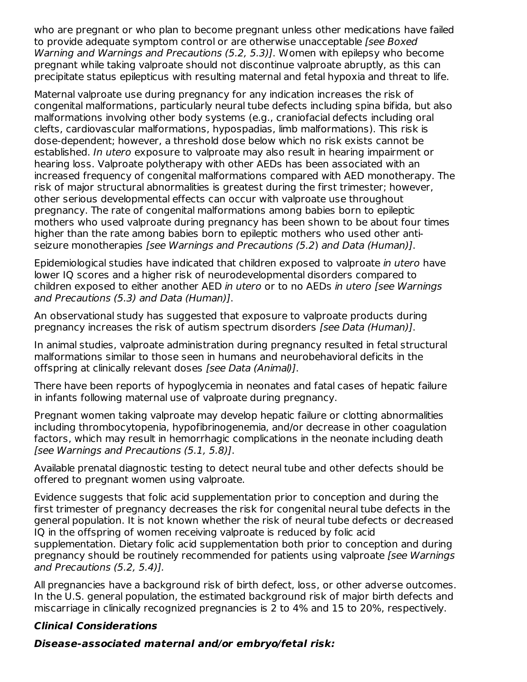who are pregnant or who plan to become pregnant unless other medications have failed to provide adequate symptom control or are otherwise unacceptable [see Boxed] Warning and Warnings and Precautions (5.2, 5.3)]. Women with epilepsy who become pregnant while taking valproate should not discontinue valproate abruptly, as this can precipitate status epilepticus with resulting maternal and fetal hypoxia and threat to life.

Maternal valproate use during pregnancy for any indication increases the risk of congenital malformations, particularly neural tube defects including spina bifida, but also malformations involving other body systems (e.g., craniofacial defects including oral clefts, cardiovascular malformations, hypospadias, limb malformations). This risk is dose-dependent; however, a threshold dose below which no risk exists cannot be established. In utero exposure to valproate may also result in hearing impairment or hearing loss. Valproate polytherapy with other AEDs has been associated with an increased frequency of congenital malformations compared with AED monotherapy. The risk of major structural abnormalities is greatest during the first trimester; however, other serious developmental effects can occur with valproate use throughout pregnancy. The rate of congenital malformations among babies born to epileptic mothers who used valproate during pregnancy has been shown to be about four times higher than the rate among babies born to epileptic mothers who used other antiseizure monotherapies [see Warnings and Precautions (5.2) and Data (Human)].

Epidemiological studies have indicated that children exposed to valproate in utero have lower IQ scores and a higher risk of neurodevelopmental disorders compared to children exposed to either another AED in utero or to no AEDs in utero [see Warnings and Precautions (5.3) and Data (Human)].

An observational study has suggested that exposure to valproate products during pregnancy increases the risk of autism spectrum disorders [see Data (Human)].

In animal studies, valproate administration during pregnancy resulted in fetal structural malformations similar to those seen in humans and neurobehavioral deficits in the offspring at clinically relevant doses [see Data (Animal)].

There have been reports of hypoglycemia in neonates and fatal cases of hepatic failure in infants following maternal use of valproate during pregnancy.

Pregnant women taking valproate may develop hepatic failure or clotting abnormalities including thrombocytopenia, hypofibrinogenemia, and/or decrease in other coagulation factors, which may result in hemorrhagic complications in the neonate including death [see Warnings and Precautions (5.1, 5.8)].

Available prenatal diagnostic testing to detect neural tube and other defects should be offered to pregnant women using valproate.

Evidence suggests that folic acid supplementation prior to conception and during the first trimester of pregnancy decreases the risk for congenital neural tube defects in the general population. It is not known whether the risk of neural tube defects or decreased IQ in the offspring of women receiving valproate is reduced by folic acid supplementation. Dietary folic acid supplementation both prior to conception and during pregnancy should be routinely recommended for patients using valproate [see Warnings and Precautions (5.2, 5.4)].

All pregnancies have a background risk of birth defect, loss, or other adverse outcomes. In the U.S. general population, the estimated background risk of major birth defects and miscarriage in clinically recognized pregnancies is 2 to 4% and 15 to 20%, respectively.

### **Clinical Considerations**

**Disease-associated maternal and/or embryo/fetal risk:**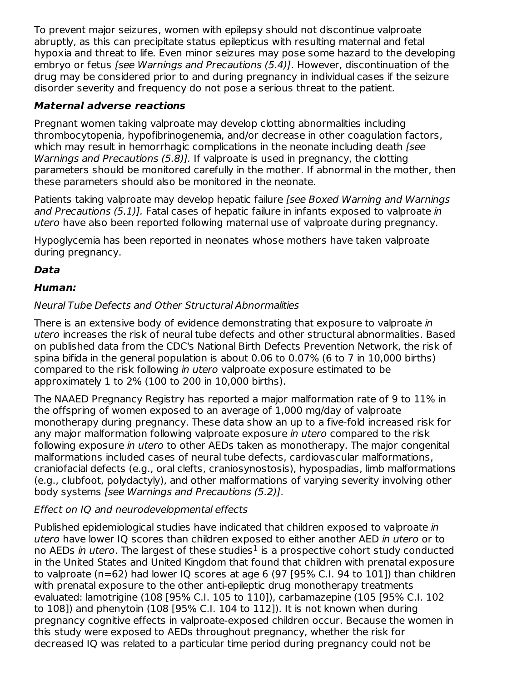To prevent major seizures, women with epilepsy should not discontinue valproate abruptly, as this can precipitate status epilepticus with resulting maternal and fetal hypoxia and threat to life. Even minor seizures may pose some hazard to the developing embryo or fetus [see Warnings and Precautions (5.4)]. However, discontinuation of the drug may be considered prior to and during pregnancy in individual cases if the seizure disorder severity and frequency do not pose a serious threat to the patient.

# **Maternal adverse reactions**

Pregnant women taking valproate may develop clotting abnormalities including thrombocytopenia, hypofibrinogenemia, and/or decrease in other coagulation factors, which may result in hemorrhagic complications in the neonate including death [see Warnings and Precautions (5.8)]. If valproate is used in pregnancy, the clotting parameters should be monitored carefully in the mother. If abnormal in the mother, then these parameters should also be monitored in the neonate.

Patients taking valproate may develop hepatic failure [see Boxed Warning and Warnings and Precautions (5.1)]. Fatal cases of hepatic failure in infants exposed to valproate in utero have also been reported following maternal use of valproate during pregnancy.

Hypoglycemia has been reported in neonates whose mothers have taken valproate during pregnancy.

# **Data**

# **Human:**

### Neural Tube Defects and Other Structural Abnormalities

There is an extensive body of evidence demonstrating that exposure to valproate in utero increases the risk of neural tube defects and other structural abnormalities. Based on published data from the CDC's National Birth Defects Prevention Network, the risk of spina bifida in the general population is about 0.06 to 0.07% (6 to 7 in 10,000 births) compared to the risk following in utero valproate exposure estimated to be approximately 1 to 2% (100 to 200 in 10,000 births).

The NAAED Pregnancy Registry has reported a major malformation rate of 9 to 11% in the offspring of women exposed to an average of 1,000 mg/day of valproate monotherapy during pregnancy. These data show an up to a five-fold increased risk for any major malformation following valproate exposure in utero compared to the risk following exposure in utero to other AEDs taken as monotherapy. The major congenital malformations included cases of neural tube defects, cardiovascular malformations, craniofacial defects (e.g., oral clefts, craniosynostosis), hypospadias, limb malformations (e.g., clubfoot, polydactyly), and other malformations of varying severity involving other body systems [see Warnings and Precautions (5.2)].

# Effect on IQ and neurodevelopmental effects

Published epidemiological studies have indicated that children exposed to valproate in utero have lower IQ scores than children exposed to either another AED in utero or to no AEDs *in utero*. The largest of these studies<sup>1</sup> is a prospective cohort study conducted in the United States and United Kingdom that found that children with prenatal exposure to valproate (n=62) had lower IQ scores at age 6 (97 [95% C.I. 94 to 101]) than children with prenatal exposure to the other anti-epileptic drug monotherapy treatments evaluated: lamotrigine (108 [95% C.I. 105 to 110]), carbamazepine (105 [95% C.I. 102 to 108]) and phenytoin (108 [95% C.I. 104 to 112]). It is not known when during pregnancy cognitive effects in valproate-exposed children occur. Because the women in this study were exposed to AEDs throughout pregnancy, whether the risk for decreased IQ was related to a particular time period during pregnancy could not be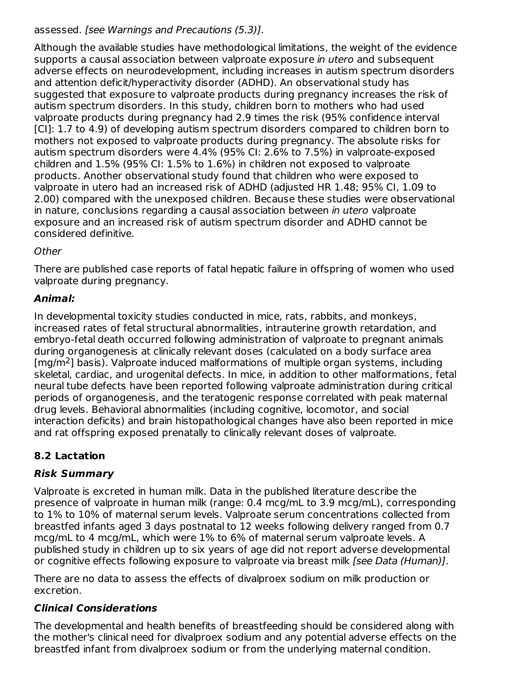# assessed. [see Warnings and Precautions (5.3)].

Although the available studies have methodological limitations, the weight of the evidence supports a causal association between valproate exposure in utero and subsequent adverse effects on neurodevelopment, including increases in autism spectrum disorders and attention deficit/hyperactivity disorder (ADHD). An observational study has suggested that exposure to valproate products during pregnancy increases the risk of autism spectrum disorders. In this study, children born to mothers who had used valproate products during pregnancy had 2.9 times the risk (95% confidence interval [CI]: 1.7 to 4.9) of developing autism spectrum disorders compared to children born to mothers not exposed to valproate products during pregnancy. The absolute risks for autism spectrum disorders were 4.4% (95% CI: 2.6% to 7.5%) in valproate-exposed children and 1.5% (95% CI: 1.5% to 1.6%) in children not exposed to valproate products. Another observational study found that children who were exposed to valproate in utero had an increased risk of ADHD (adjusted HR 1.48; 95% CI, 1.09 to 2.00) compared with the unexposed children. Because these studies were observational in nature, conclusions regarding a causal association between in utero valproate exposure and an increased risk of autism spectrum disorder and ADHD cannot be considered definitive.

### **Other**

There are published case reports of fatal hepatic failure in offspring of women who used valproate during pregnancy.

# **Animal:**

In developmental toxicity studies conducted in mice, rats, rabbits, and monkeys, increased rates of fetal structural abnormalities, intrauterine growth retardation, and embryo-fetal death occurred following administration of valproate to pregnant animals during organogenesis at clinically relevant doses (calculated on a body surface area  $[mg/m<sup>2</sup>]$  basis). Valproate induced malformations of multiple organ systems, including skeletal, cardiac, and urogenital defects. In mice, in addition to other malformations, fetal neural tube defects have been reported following valproate administration during critical periods of organogenesis, and the teratogenic response correlated with peak maternal drug levels. Behavioral abnormalities (including cognitive, locomotor, and social interaction deficits) and brain histopathological changes have also been reported in mice and rat offspring exposed prenatally to clinically relevant doses of valproate.

# **8.2 Lactation**

# **Risk Summary**

Valproate is excreted in human milk. Data in the published literature describe the presence of valproate in human milk (range: 0.4 mcg/mL to 3.9 mcg/mL), corresponding to 1% to 10% of maternal serum levels. Valproate serum concentrations collected from breastfed infants aged 3 days postnatal to 12 weeks following delivery ranged from 0.7 mcg/mL to 4 mcg/mL, which were 1% to 6% of maternal serum valproate levels. A published study in children up to six years of age did not report adverse developmental or cognitive effects following exposure to valproate via breast milk [see Data (Human)].

There are no data to assess the effects of divalproex sodium on milk production or excretion.

### **Clinical Considerations**

The developmental and health benefits of breastfeeding should be considered along with the mother's clinical need for divalproex sodium and any potential adverse effects on the breastfed infant from divalproex sodium or from the underlying maternal condition.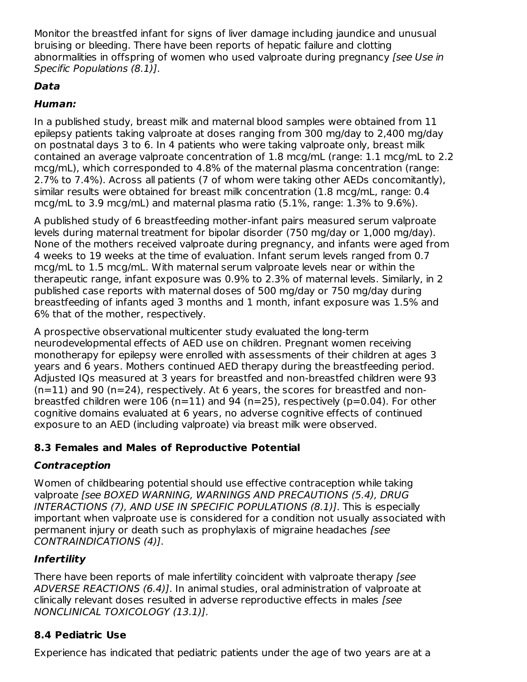Monitor the breastfed infant for signs of liver damage including jaundice and unusual bruising or bleeding. There have been reports of hepatic failure and clotting abnormalities in offspring of women who used valproate during pregnancy [see Use in Specific Populations (8.1)].

# **Data**

# **Human:**

In a published study, breast milk and maternal blood samples were obtained from 11 epilepsy patients taking valproate at doses ranging from 300 mg/day to 2,400 mg/day on postnatal days 3 to 6. In 4 patients who were taking valproate only, breast milk contained an average valproate concentration of 1.8 mcg/mL (range: 1.1 mcg/mL to 2.2 mcg/mL), which corresponded to 4.8% of the maternal plasma concentration (range: 2.7% to 7.4%). Across all patients (7 of whom were taking other AEDs concomitantly), similar results were obtained for breast milk concentration (1.8 mcg/mL, range: 0.4 mcg/mL to 3.9 mcg/mL) and maternal plasma ratio (5.1%, range: 1.3% to 9.6%).

A published study of 6 breastfeeding mother-infant pairs measured serum valproate levels during maternal treatment for bipolar disorder (750 mg/day or 1,000 mg/day). None of the mothers received valproate during pregnancy, and infants were aged from 4 weeks to 19 weeks at the time of evaluation. Infant serum levels ranged from 0.7 mcg/mL to 1.5 mcg/mL. With maternal serum valproate levels near or within the therapeutic range, infant exposure was 0.9% to 2.3% of maternal levels. Similarly, in 2 published case reports with maternal doses of 500 mg/day or 750 mg/day during breastfeeding of infants aged 3 months and 1 month, infant exposure was 1.5% and 6% that of the mother, respectively.

A prospective observational multicenter study evaluated the long-term neurodevelopmental effects of AED use on children. Pregnant women receiving monotherapy for epilepsy were enrolled with assessments of their children at ages 3 years and 6 years. Mothers continued AED therapy during the breastfeeding period. Adjusted IQs measured at 3 years for breastfed and non-breastfed children were 93  $(n=11)$  and 90 (n=24), respectively. At 6 years, the scores for breastfed and nonbreastfed children were  $106$  (n=11) and 94 (n=25), respectively (p=0.04). For other cognitive domains evaluated at 6 years, no adverse cognitive effects of continued exposure to an AED (including valproate) via breast milk were observed.

### **8.3 Females and Males of Reproductive Potential**

# **Contraception**

Women of childbearing potential should use effective contraception while taking valproate [see BOXED WARNING, WARNINGS AND PRECAUTIONS (5.4), DRUG INTERACTIONS (7), AND USE IN SPECIFIC POPULATIONS (8.1)]. This is especially important when valproate use is considered for a condition not usually associated with permanent injury or death such as prophylaxis of migraine headaches [see CONTRAINDICATIONS (4)].

# **Infertility**

There have been reports of male infertility coincident with valproate therapy [see ADVERSE REACTIONS (6.4)]. In animal studies, oral administration of valproate at clinically relevant doses resulted in adverse reproductive effects in males [see NONCLINICAL TOXICOLOGY (13.1)].

# **8.4 Pediatric Use**

Experience has indicated that pediatric patients under the age of two years are at a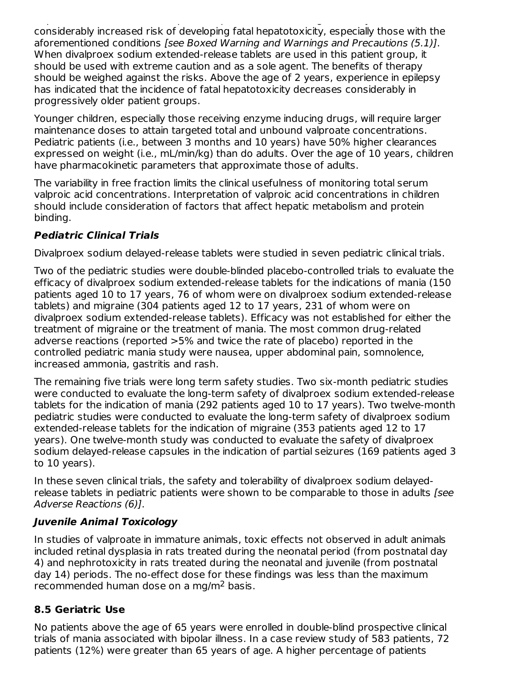Experience has indicated that pediatric patients under the age of two years are at a considerably increased risk of developing fatal hepatotoxicity, especially those with the aforementioned conditions [see Boxed Warning and Warnings and Precautions (5.1)]. When divalproex sodium extended-release tablets are used in this patient group, it should be used with extreme caution and as a sole agent. The benefits of therapy should be weighed against the risks. Above the age of 2 years, experience in epilepsy has indicated that the incidence of fatal hepatotoxicity decreases considerably in progressively older patient groups.

Younger children, especially those receiving enzyme inducing drugs, will require larger maintenance doses to attain targeted total and unbound valproate concentrations. Pediatric patients (i.e., between 3 months and 10 years) have 50% higher clearances expressed on weight (i.e., mL/min/kg) than do adults. Over the age of 10 years, children have pharmacokinetic parameters that approximate those of adults.

The variability in free fraction limits the clinical usefulness of monitoring total serum valproic acid concentrations. Interpretation of valproic acid concentrations in children should include consideration of factors that affect hepatic metabolism and protein binding.

# **Pediatric Clinical Trials**

Divalproex sodium delayed-release tablets were studied in seven pediatric clinical trials.

Two of the pediatric studies were double-blinded placebo-controlled trials to evaluate the efficacy of divalproex sodium extended-release tablets for the indications of mania (150 patients aged 10 to 17 years, 76 of whom were on divalproex sodium extended-release tablets) and migraine (304 patients aged 12 to 17 years, 231 of whom were on divalproex sodium extended-release tablets). Efficacy was not established for either the treatment of migraine or the treatment of mania. The most common drug-related adverse reactions (reported >5% and twice the rate of placebo) reported in the controlled pediatric mania study were nausea, upper abdominal pain, somnolence, increased ammonia, gastritis and rash.

The remaining five trials were long term safety studies. Two six-month pediatric studies were conducted to evaluate the long-term safety of divalproex sodium extended-release tablets for the indication of mania (292 patients aged 10 to 17 years). Two twelve-month pediatric studies were conducted to evaluate the long-term safety of divalproex sodium extended-release tablets for the indication of migraine (353 patients aged 12 to 17 years). One twelve-month study was conducted to evaluate the safety of divalproex sodium delayed-release capsules in the indication of partial seizures (169 patients aged 3 to 10 years).

In these seven clinical trials, the safety and tolerability of divalproex sodium delayedrelease tablets in pediatric patients were shown to be comparable to those in adults [see Adverse Reactions (6)].

### **Juvenile Animal Toxicology**

In studies of valproate in immature animals, toxic effects not observed in adult animals included retinal dysplasia in rats treated during the neonatal period (from postnatal day 4) and nephrotoxicity in rats treated during the neonatal and juvenile (from postnatal day 14) periods. The no-effect dose for these findings was less than the maximum recommended human dose on a mg/m<sup>2</sup> basis.

# **8.5 Geriatric Use**

No patients above the age of 65 years were enrolled in double-blind prospective clinical trials of mania associated with bipolar illness. In a case review study of 583 patients, 72 patients (12%) were greater than 65 years of age. A higher percentage of patients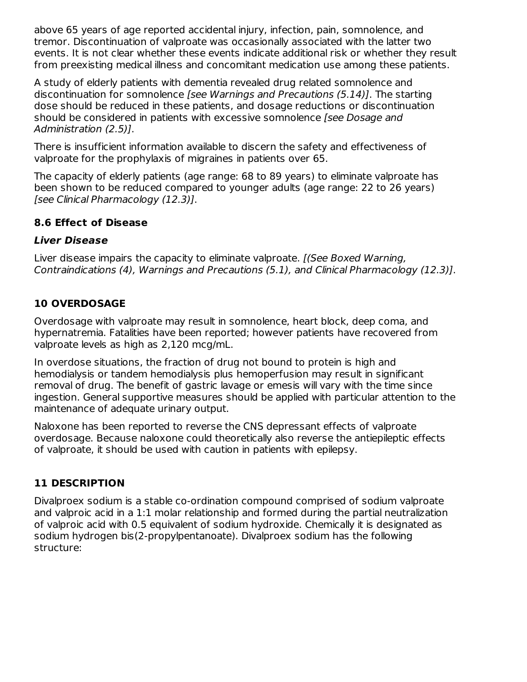above 65 years of age reported accidental injury, infection, pain, somnolence, and tremor. Discontinuation of valproate was occasionally associated with the latter two events. It is not clear whether these events indicate additional risk or whether they result from preexisting medical illness and concomitant medication use among these patients.

A study of elderly patients with dementia revealed drug related somnolence and discontinuation for somnolence [see Warnings and Precautions (5.14)]. The starting dose should be reduced in these patients, and dosage reductions or discontinuation should be considered in patients with excessive somnolence (see Dosage and Administration (2.5)].

There is insufficient information available to discern the safety and effectiveness of valproate for the prophylaxis of migraines in patients over 65.

The capacity of elderly patients (age range: 68 to 89 years) to eliminate valproate has been shown to be reduced compared to younger adults (age range: 22 to 26 years) [see Clinical Pharmacology (12.3)].

# **8.6 Effect of Disease**

#### **Liver Disease**

Liver disease impairs the capacity to eliminate valproate. *[(See Boxed Warning,* Contraindications (4), Warnings and Precautions (5.1), and Clinical Pharmacology (12.3)].

# **10 OVERDOSAGE**

Overdosage with valproate may result in somnolence, heart block, deep coma, and hypernatremia. Fatalities have been reported; however patients have recovered from valproate levels as high as 2,120 mcg/mL.

In overdose situations, the fraction of drug not bound to protein is high and hemodialysis or tandem hemodialysis plus hemoperfusion may result in significant removal of drug. The benefit of gastric lavage or emesis will vary with the time since ingestion. General supportive measures should be applied with particular attention to the maintenance of adequate urinary output.

Naloxone has been reported to reverse the CNS depressant effects of valproate overdosage. Because naloxone could theoretically also reverse the antiepileptic effects of valproate, it should be used with caution in patients with epilepsy.

# **11 DESCRIPTION**

Divalproex sodium is a stable co-ordination compound comprised of sodium valproate and valproic acid in a 1:1 molar relationship and formed during the partial neutralization of valproic acid with 0.5 equivalent of sodium hydroxide. Chemically it is designated as sodium hydrogen bis(2-propylpentanoate). Divalproex sodium has the following structure: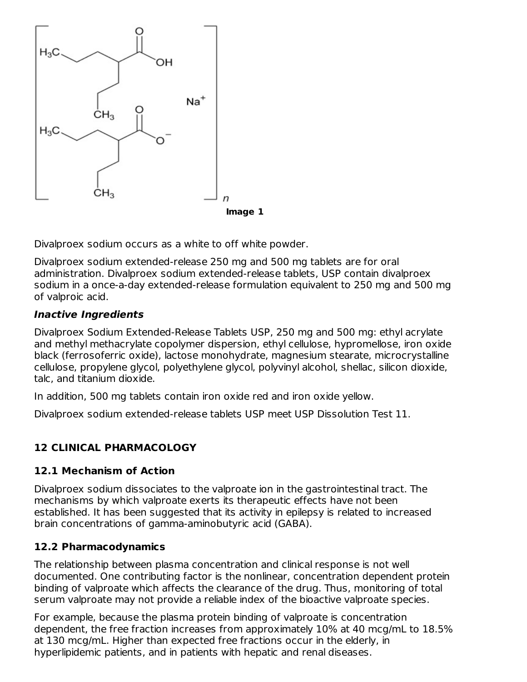

Divalproex sodium occurs as a white to off white powder.

Divalproex sodium extended-release 250 mg and 500 mg tablets are for oral administration. Divalproex sodium extended-release tablets, USP contain divalproex sodium in a once-a-day extended-release formulation equivalent to 250 mg and 500 mg of valproic acid.

#### **Inactive Ingredients**

Divalproex Sodium Extended-Release Tablets USP, 250 mg and 500 mg: ethyl acrylate and methyl methacrylate copolymer dispersion, ethyl cellulose, hypromellose, iron oxide black (ferrosoferric oxide), lactose monohydrate, magnesium stearate, microcrystalline cellulose, propylene glycol, polyethylene glycol, polyvinyl alcohol, shellac, silicon dioxide, talc, and titanium dioxide.

In addition, 500 mg tablets contain iron oxide red and iron oxide yellow.

Divalproex sodium extended-release tablets USP meet USP Dissolution Test 11.

### **12 CLINICAL PHARMACOLOGY**

#### **12.1 Mechanism of Action**

Divalproex sodium dissociates to the valproate ion in the gastrointestinal tract. The mechanisms by which valproate exerts its therapeutic effects have not been established. It has been suggested that its activity in epilepsy is related to increased brain concentrations of gamma-aminobutyric acid (GABA).

#### **12.2 Pharmacodynamics**

The relationship between plasma concentration and clinical response is not well documented. One contributing factor is the nonlinear, concentration dependent protein binding of valproate which affects the clearance of the drug. Thus, monitoring of total serum valproate may not provide a reliable index of the bioactive valproate species.

For example, because the plasma protein binding of valproate is concentration dependent, the free fraction increases from approximately 10% at 40 mcg/mL to 18.5% at 130 mcg/mL. Higher than expected free fractions occur in the elderly, in hyperlipidemic patients, and in patients with hepatic and renal diseases.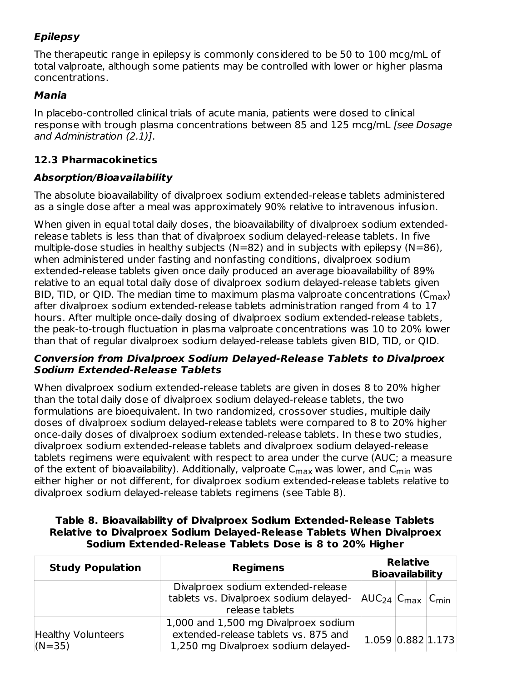# **Epilepsy**

The therapeutic range in epilepsy is commonly considered to be 50 to 100 mcg/mL of total valproate, although some patients may be controlled with lower or higher plasma concentrations.

#### **Mania**

In placebo-controlled clinical trials of acute mania, patients were dosed to clinical response with trough plasma concentrations between 85 and 125 mcg/mL [see Dosage and Administration (2.1)].

# **12.3 Pharmacokinetics**

### **Absorption/Bioavailability**

The absolute bioavailability of divalproex sodium extended-release tablets administered as a single dose after a meal was approximately 90% relative to intravenous infusion.

When given in equal total daily doses, the bioavailability of divalproex sodium extendedrelease tablets is less than that of divalproex sodium delayed-release tablets. In five multiple-dose studies in healthy subjects ( $N=82$ ) and in subjects with epilepsy ( $N=86$ ), when administered under fasting and nonfasting conditions, divalproex sodium extended-release tablets given once daily produced an average bioavailability of 89% relative to an equal total daily dose of divalproex sodium delayed-release tablets given BID, TID, or QID. The median time to maximum plasma valproate concentrations (C $_{\sf max}$ ) after divalproex sodium extended-release tablets administration ranged from 4 to 17 hours. After multiple once-daily dosing of divalproex sodium extended-release tablets, the peak-to-trough fluctuation in plasma valproate concentrations was 10 to 20% lower than that of regular divalproex sodium delayed-release tablets given BID, TID, or QID.

#### **Conversion from Divalproex Sodium Delayed-Release Tablets to Divalproex Sodium Extended-Release Tablets**

When divalproex sodium extended-release tablets are given in doses 8 to 20% higher than the total daily dose of divalproex sodium delayed-release tablets, the two formulations are bioequivalent. In two randomized, crossover studies, multiple daily doses of divalproex sodium delayed-release tablets were compared to 8 to 20% higher once-daily doses of divalproex sodium extended-release tablets. In these two studies, divalproex sodium extended-release tablets and divalproex sodium delayed-release tablets regimens were equivalent with respect to area under the curve (AUC; a measure of the extent of bioavailability). Additionally, valproate  ${\sf C}_{\sf max}$  was lower, and  ${\sf C}_{\sf min}$  was either higher or not different, for divalproex sodium extended-release tablets relative to divalproex sodium delayed-release tablets regimens (see Table 8).

| Table 8. Bioavailability of Divalproex Sodium Extended-Release Tablets |
|------------------------------------------------------------------------|
| Relative to Divalproex Sodium Delayed-Release Tablets When Divalproex  |
| Sodium Extended-Release Tablets Dose is 8 to 20% Higher                |

| <b>Study Population</b>               | <b>Regimens</b>                                                                                                     |                             | <b>Relative</b><br><b>Bioavailability</b> |  |
|---------------------------------------|---------------------------------------------------------------------------------------------------------------------|-----------------------------|-------------------------------------------|--|
|                                       | Divalproex sodium extended-release<br>tablets vs. Divalproex sodium delayed-<br>release tablets                     | $ AUC_{24} C_{max} C_{min}$ |                                           |  |
| <b>Healthy Volunteers</b><br>$(N=35)$ | 1,000 and 1,500 mg Divalproex sodium<br>extended-release tablets vs. 875 and<br>1,250 mg Divalproex sodium delayed- | $1.059$ $0.882$ $1.173$     |                                           |  |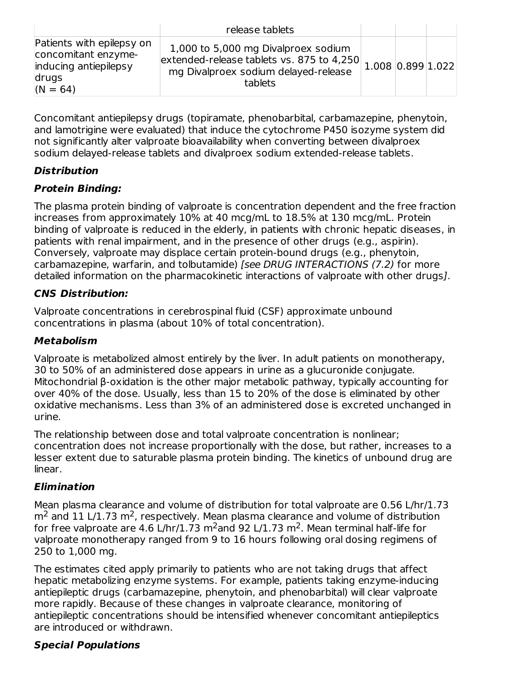|                                                                                                  | release tablets                                                                                                                                                           |  |  |
|--------------------------------------------------------------------------------------------------|---------------------------------------------------------------------------------------------------------------------------------------------------------------------------|--|--|
| Patients with epilepsy on<br>concomitant enzyme-<br>inducing antiepilepsy<br>drugs<br>$(N = 64)$ | 1,000 to 5,000 mg Divalproex sodium<br>$\frac{1,000}{2}$ contracted release tablets vs. 875 to 4,250 1.008 0.899 1.022<br>mg Divalproex sodium delayed-release<br>tablets |  |  |

Concomitant antiepilepsy drugs (topiramate, phenobarbital, carbamazepine, phenytoin, and lamotrigine were evaluated) that induce the cytochrome P450 isozyme system did not significantly alter valproate bioavailability when converting between divalproex sodium delayed-release tablets and divalproex sodium extended-release tablets.

# **Distribution**

# **Protein Binding:**

The plasma protein binding of valproate is concentration dependent and the free fraction increases from approximately 10% at 40 mcg/mL to 18.5% at 130 mcg/mL. Protein binding of valproate is reduced in the elderly, in patients with chronic hepatic diseases, in patients with renal impairment, and in the presence of other drugs (e.g., aspirin). Conversely, valproate may displace certain protein-bound drugs (e.g., phenytoin, carbamazepine, warfarin, and tolbutamide) [see DRUG INTERACTIONS (7.2) for more detailed information on the pharmacokinetic interactions of valproate with other drugs].

# **CNS Distribution:**

Valproate concentrations in cerebrospinal fluid (CSF) approximate unbound concentrations in plasma (about 10% of total concentration).

### **Metabolism**

Valproate is metabolized almost entirely by the liver. In adult patients on monotherapy, 30 to 50% of an administered dose appears in urine as a glucuronide conjugate. Mitochondrial β-oxidation is the other major metabolic pathway, typically accounting for over 40% of the dose. Usually, less than 15 to 20% of the dose is eliminated by other oxidative mechanisms. Less than 3% of an administered dose is excreted unchanged in urine.

The relationship between dose and total valproate concentration is nonlinear; concentration does not increase proportionally with the dose, but rather, increases to a lesser extent due to saturable plasma protein binding. The kinetics of unbound drug are linear.

# **Elimination**

Mean plasma clearance and volume of distribution for total valproate are 0.56 L/hr/1.73  $m<sup>2</sup>$  and 11 L/1.73 m<sup>2</sup>, respectively. Mean plasma clearance and volume of distribution for free valproate are 4.6 L/hr/1.73 m<sup>2</sup>and 92 L/1.73 m<sup>2</sup>. Mean terminal half-life for valproate monotherapy ranged from 9 to 16 hours following oral dosing regimens of 250 to 1,000 mg.

The estimates cited apply primarily to patients who are not taking drugs that affect hepatic metabolizing enzyme systems. For example, patients taking enzyme-inducing antiepileptic drugs (carbamazepine, phenytoin, and phenobarbital) will clear valproate more rapidly. Because of these changes in valproate clearance, monitoring of antiepileptic concentrations should be intensified whenever concomitant antiepileptics are introduced or withdrawn.

# **Special Populations**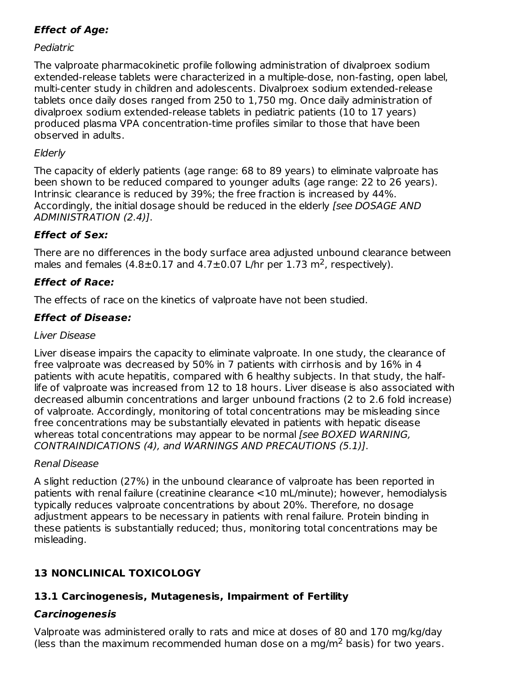# **Effect of Age:**

# Pediatric

The valproate pharmacokinetic profile following administration of divalproex sodium extended-release tablets were characterized in a multiple-dose, non-fasting, open label, multi-center study in children and adolescents. Divalproex sodium extended-release tablets once daily doses ranged from 250 to 1,750 mg. Once daily administration of divalproex sodium extended-release tablets in pediatric patients (10 to 17 years) produced plasma VPA concentration-time profiles similar to those that have been observed in adults.

# **Elderly**

The capacity of elderly patients (age range: 68 to 89 years) to eliminate valproate has been shown to be reduced compared to younger adults (age range: 22 to 26 years). Intrinsic clearance is reduced by 39%; the free fraction is increased by 44%. Accordingly, the initial dosage should be reduced in the elderly [see DOSAGE AND ADMINISTRATION (2.4)].

# **Effect of Sex:**

There are no differences in the body surface area adjusted unbound clearance between males and females  $(4.8\pm0.17$  and  $4.7\pm0.07$  L/hr per 1.73 m<sup>2</sup>, respectively).

# **Effect of Race:**

The effects of race on the kinetics of valproate have not been studied.

# **Effect of Disease:**

# Liver Disease

Liver disease impairs the capacity to eliminate valproate. In one study, the clearance of free valproate was decreased by 50% in 7 patients with cirrhosis and by 16% in 4 patients with acute hepatitis, compared with 6 healthy subjects. In that study, the halflife of valproate was increased from 12 to 18 hours. Liver disease is also associated with decreased albumin concentrations and larger unbound fractions (2 to 2.6 fold increase) of valproate. Accordingly, monitoring of total concentrations may be misleading since free concentrations may be substantially elevated in patients with hepatic disease whereas total concentrations may appear to be normal [see BOXED WARNING, CONTRAINDICATIONS (4), and WARNINGS AND PRECAUTIONS (5.1)].

# Renal Disease

A slight reduction (27%) in the unbound clearance of valproate has been reported in patients with renal failure (creatinine clearance <10 mL/minute); however, hemodialysis typically reduces valproate concentrations by about 20%. Therefore, no dosage adjustment appears to be necessary in patients with renal failure. Protein binding in these patients is substantially reduced; thus, monitoring total concentrations may be misleading.

# **13 NONCLINICAL TOXICOLOGY**

# **13.1 Carcinogenesis, Mutagenesis, Impairment of Fertility**

# **Carcinogenesis**

Valproate was administered orally to rats and mice at doses of 80 and 170 mg/kg/day (less than the maximum recommended human dose on a mg/m<sup>2</sup> basis) for two years.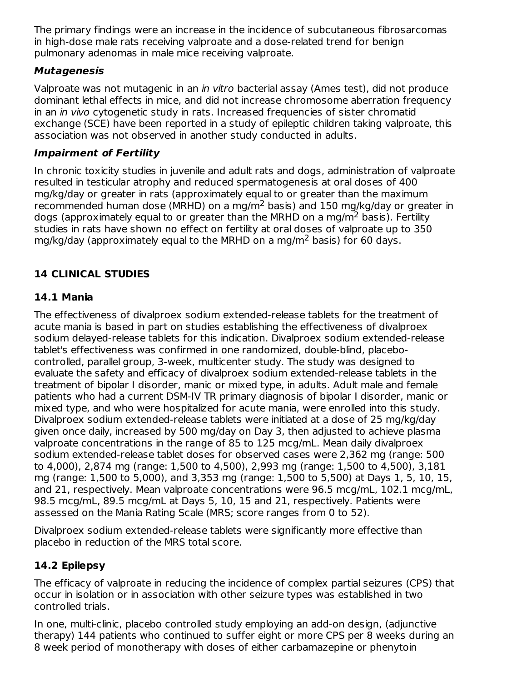The primary findings were an increase in the incidence of subcutaneous fibrosarcomas in high-dose male rats receiving valproate and a dose-related trend for benign pulmonary adenomas in male mice receiving valproate.

# **Mutagenesis**

Valproate was not mutagenic in an *in vitro* bacterial assay (Ames test), did not produce dominant lethal effects in mice, and did not increase chromosome aberration frequency in an *in vivo* cytogenetic study in rats. Increased frequencies of sister chromatid exchange (SCE) have been reported in a study of epileptic children taking valproate, this association was not observed in another study conducted in adults.

# **Impairment of Fertility**

In chronic toxicity studies in juvenile and adult rats and dogs, administration of valproate resulted in testicular atrophy and reduced spermatogenesis at oral doses of 400 mg/kg/day or greater in rats (approximately equal to or greater than the maximum recommended human dose (MRHD) on a mg/m<sup>2</sup> basis) and 150 mg/kg/day or greater in dogs (approximately equal to or greater than the MRHD on a mg/m<sup>2</sup> basis). Fertility studies in rats have shown no effect on fertility at oral doses of valproate up to 350 mg/kg/day (approximately equal to the MRHD on a mg/m<sup>2</sup> basis) for 60 days.

# **14 CLINICAL STUDIES**

# **14.1 Mania**

The effectiveness of divalproex sodium extended-release tablets for the treatment of acute mania is based in part on studies establishing the effectiveness of divalproex sodium delayed-release tablets for this indication. Divalproex sodium extended-release tablet's effectiveness was confirmed in one randomized, double-blind, placebocontrolled, parallel group, 3-week, multicenter study. The study was designed to evaluate the safety and efficacy of divalproex sodium extended-release tablets in the treatment of bipolar I disorder, manic or mixed type, in adults. Adult male and female patients who had a current DSM-IV TR primary diagnosis of bipolar I disorder, manic or mixed type, and who were hospitalized for acute mania, were enrolled into this study. Divalproex sodium extended-release tablets were initiated at a dose of 25 mg/kg/day given once daily, increased by 500 mg/day on Day 3, then adjusted to achieve plasma valproate concentrations in the range of 85 to 125 mcg/mL. Mean daily divalproex sodium extended-release tablet doses for observed cases were 2,362 mg (range: 500 to 4,000), 2,874 mg (range: 1,500 to 4,500), 2,993 mg (range: 1,500 to 4,500), 3,181 mg (range: 1,500 to 5,000), and 3,353 mg (range: 1,500 to 5,500) at Days 1, 5, 10, 15, and 21, respectively. Mean valproate concentrations were 96.5 mcg/mL, 102.1 mcg/mL, 98.5 mcg/mL, 89.5 mcg/mL at Days 5, 10, 15 and 21, respectively. Patients were assessed on the Mania Rating Scale (MRS; score ranges from 0 to 52).

Divalproex sodium extended-release tablets were significantly more effective than placebo in reduction of the MRS total score.

# **14.2 Epilepsy**

The efficacy of valproate in reducing the incidence of complex partial seizures (CPS) that occur in isolation or in association with other seizure types was established in two controlled trials.

In one, multi-clinic, placebo controlled study employing an add-on design, (adjunctive therapy) 144 patients who continued to suffer eight or more CPS per 8 weeks during an 8 week period of monotherapy with doses of either carbamazepine or phenytoin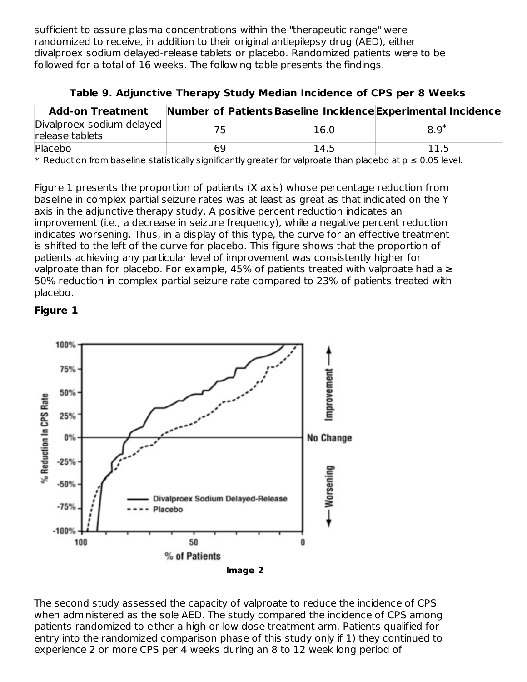sufficient to assure plasma concentrations within the "therapeutic range" were randomized to receive, in addition to their original antiepilepsy drug (AED), either divalproex sodium delayed-release tablets or placebo. Randomized patients were to be followed for a total of 16 weeks. The following table presents the findings.

| Divalproex sodium delayed- | 16.0 | $8.9*$                                                                                                                                                                                                                                                                                             |
|----------------------------|------|----------------------------------------------------------------------------------------------------------------------------------------------------------------------------------------------------------------------------------------------------------------------------------------------------|
| 69                         | 14.5 | 11.5                                                                                                                                                                                                                                                                                               |
|                            |      | Number of Patients Baseline Incidence Experimental Incidence<br>$\mathcal{A}$ . The state of the state of the state of the state of the state of the state of the state of the state of the state of the state of the state of the state of the state of the state of the state of the state of th |

#### **Table 9. Adjunctive Therapy Study Median Incidence of CPS per 8 Weeks**

 $*$  Reduction from baseline statistically significantly greater for valproate than placebo at  $p \leq 0.05$  level.

Figure 1 presents the proportion of patients (X axis) whose percentage reduction from baseline in complex partial seizure rates was at least as great as that indicated on the Y axis in the adjunctive therapy study. A positive percent reduction indicates an improvement (i.e., a decrease in seizure frequency), while a negative percent reduction indicates worsening. Thus, in a display of this type, the curve for an effective treatment is shifted to the left of the curve for placebo. This figure shows that the proportion of patients achieving any particular level of improvement was consistently higher for valproate than for placebo. For example, 45% of patients treated with valproate had a  $\geq$ 50% reduction in complex partial seizure rate compared to 23% of patients treated with placebo.

#### **Figure 1**



The second study assessed the capacity of valproate to reduce the incidence of CPS when administered as the sole AED. The study compared the incidence of CPS among patients randomized to either a high or low dose treatment arm. Patients qualified for entry into the randomized comparison phase of this study only if 1) they continued to experience 2 or more CPS per 4 weeks during an 8 to 12 week long period of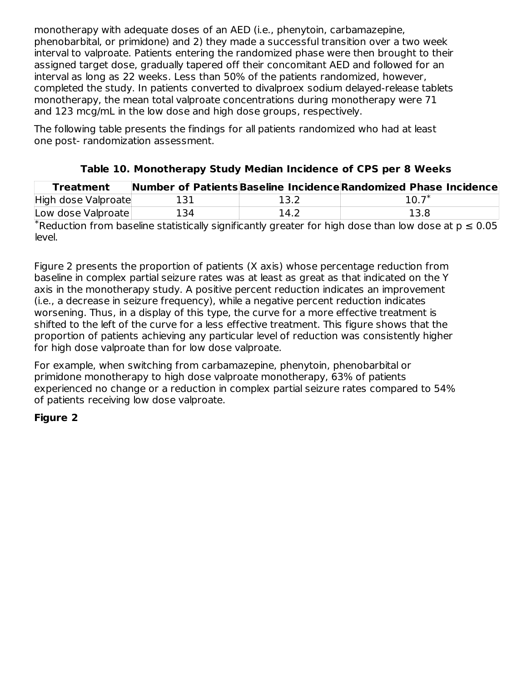monotherapy with adequate doses of an AED (i.e., phenytoin, carbamazepine, phenobarbital, or primidone) and 2) they made a successful transition over a two week interval to valproate. Patients entering the randomized phase were then brought to their assigned target dose, gradually tapered off their concomitant AED and followed for an interval as long as 22 weeks. Less than 50% of the patients randomized, however, completed the study. In patients converted to divalproex sodium delayed-release tablets monotherapy, the mean total valproate concentrations during monotherapy were 71 and 123 mcg/mL in the low dose and high dose groups, respectively.

The following table presents the findings for all patients randomized who had at least one post- randomization assessment.

| <b>Treatment</b>    |     |      | Number of Patients Baseline Incidence Randomized Phase Incidence |
|---------------------|-----|------|------------------------------------------------------------------|
| High dose Valproate | 131 | 13.2 | $10.7^*$                                                         |
| Low dose Valproate  | 134 | 14.2 | 13.8                                                             |

# **Table 10. Monotherapy Study Median Incidence of CPS per 8 Weeks**

 $*$ Reduction from baseline statistically significantly greater for high dose than low dose at  $p \le 0.05$ level.

Figure 2 presents the proportion of patients (X axis) whose percentage reduction from baseline in complex partial seizure rates was at least as great as that indicated on the Y axis in the monotherapy study. A positive percent reduction indicates an improvement (i.e., a decrease in seizure frequency), while a negative percent reduction indicates worsening. Thus, in a display of this type, the curve for a more effective treatment is shifted to the left of the curve for a less effective treatment. This figure shows that the proportion of patients achieving any particular level of reduction was consistently higher for high dose valproate than for low dose valproate.

For example, when switching from carbamazepine, phenytoin, phenobarbital or primidone monotherapy to high dose valproate monotherapy, 63% of patients experienced no change or a reduction in complex partial seizure rates compared to 54% of patients receiving low dose valproate.

# **Figure 2**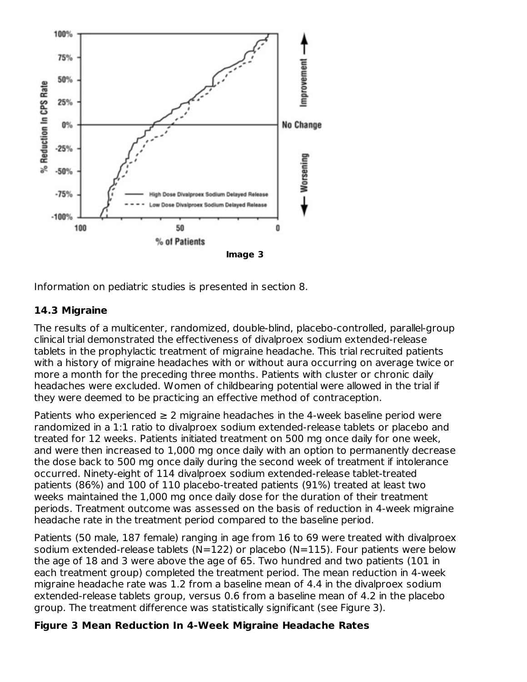

Information on pediatric studies is presented in section 8.

# **14.3 Migraine**

The results of a multicenter, randomized, double-blind, placebo-controlled, parallel-group clinical trial demonstrated the effectiveness of divalproex sodium extended-release tablets in the prophylactic treatment of migraine headache. This trial recruited patients with a history of migraine headaches with or without aura occurring on average twice or more a month for the preceding three months. Patients with cluster or chronic daily headaches were excluded. Women of childbearing potential were allowed in the trial if they were deemed to be practicing an effective method of contraception.

Patients who experienced  $\geq 2$  migraine headaches in the 4-week baseline period were randomized in a 1:1 ratio to divalproex sodium extended-release tablets or placebo and treated for 12 weeks. Patients initiated treatment on 500 mg once daily for one week, and were then increased to 1,000 mg once daily with an option to permanently decrease the dose back to 500 mg once daily during the second week of treatment if intolerance occurred. Ninety-eight of 114 divalproex sodium extended-release tablet-treated patients (86%) and 100 of 110 placebo-treated patients (91%) treated at least two weeks maintained the 1,000 mg once daily dose for the duration of their treatment periods. Treatment outcome was assessed on the basis of reduction in 4-week migraine headache rate in the treatment period compared to the baseline period.

Patients (50 male, 187 female) ranging in age from 16 to 69 were treated with divalproex sodium extended-release tablets (N=122) or placebo (N=115). Four patients were below the age of 18 and 3 were above the age of 65. Two hundred and two patients (101 in each treatment group) completed the treatment period. The mean reduction in 4-week migraine headache rate was 1.2 from a baseline mean of 4.4 in the divalproex sodium extended-release tablets group, versus 0.6 from a baseline mean of 4.2 in the placebo group. The treatment difference was statistically significant (see Figure 3).

### **Figure 3 Mean Reduction In 4-Week Migraine Headache Rates**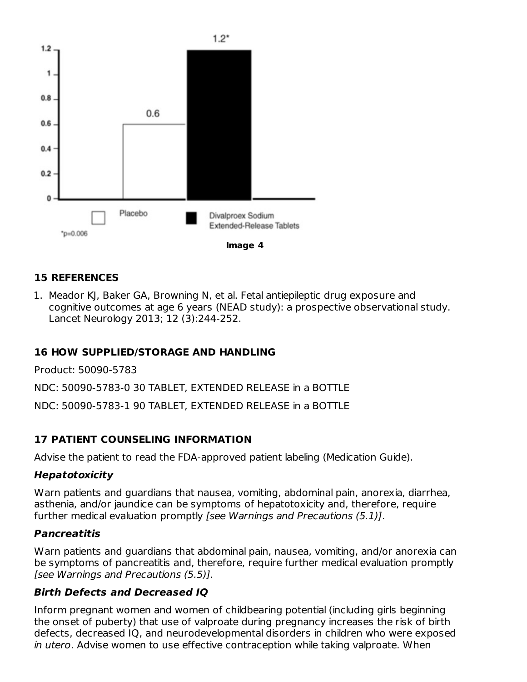

#### **15 REFERENCES**

1. Meador KJ, Baker GA, Browning N, et al. Fetal antiepileptic drug exposure and cognitive outcomes at age 6 years (NEAD study): a prospective observational study. Lancet Neurology 2013; 12 (3):244-252.

#### **16 HOW SUPPLIED/STORAGE AND HANDLING**

Product: 50090-5783

NDC: 50090-5783-0 30 TABLET, EXTENDED RELEASE in a BOTTLE

NDC: 50090-5783-1 90 TABLET, EXTENDED RELEASE in a BOTTLE

#### **17 PATIENT COUNSELING INFORMATION**

Advise the patient to read the FDA-approved patient labeling (Medication Guide).

#### **Hepatotoxicity**

Warn patients and guardians that nausea, vomiting, abdominal pain, anorexia, diarrhea, asthenia, and/or jaundice can be symptoms of hepatotoxicity and, therefore, require further medical evaluation promptly [see Warnings and Precautions (5.1)].

#### **Pancreatitis**

Warn patients and guardians that abdominal pain, nausea, vomiting, and/or anorexia can be symptoms of pancreatitis and, therefore, require further medical evaluation promptly [see Warnings and Precautions (5.5)].

#### **Birth Defects and Decreased IQ**

Inform pregnant women and women of childbearing potential (including girls beginning the onset of puberty) that use of valproate during pregnancy increases the risk of birth defects, decreased IQ, and neurodevelopmental disorders in children who were exposed in utero. Advise women to use effective contraception while taking valproate. When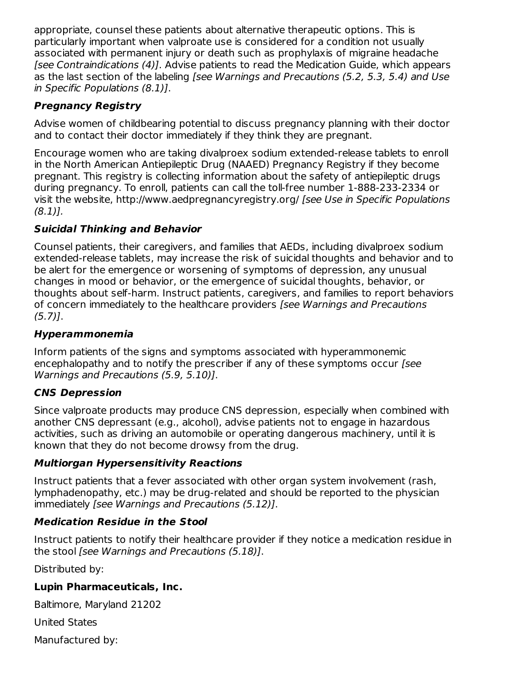appropriate, counsel these patients about alternative therapeutic options. This is particularly important when valproate use is considered for a condition not usually associated with permanent injury or death such as prophylaxis of migraine headache [see Contraindications (4)]. Advise patients to read the Medication Guide, which appears as the last section of the labeling [see Warnings and Precautions (5.2, 5.3, 5.4) and Use in Specific Populations (8.1)].

# **Pregnancy Registry**

Advise women of childbearing potential to discuss pregnancy planning with their doctor and to contact their doctor immediately if they think they are pregnant.

Encourage women who are taking divalproex sodium extended-release tablets to enroll in the North American Antiepileptic Drug (NAAED) Pregnancy Registry if they become pregnant. This registry is collecting information about the safety of antiepileptic drugs during pregnancy. To enroll, patients can call the toll-free number 1-888-233-2334 or visit the website, http://www.aedpregnancyregistry.org/ [see Use in Specific Populations (8.1)].

# **Suicidal Thinking and Behavior**

Counsel patients, their caregivers, and families that AEDs, including divalproex sodium extended-release tablets, may increase the risk of suicidal thoughts and behavior and to be alert for the emergence or worsening of symptoms of depression, any unusual changes in mood or behavior, or the emergence of suicidal thoughts, behavior, or thoughts about self-harm. Instruct patients, caregivers, and families to report behaviors of concern immediately to the healthcare providers [see Warnings and Precautions  $(5.7)$ ].

### **Hyperammonemia**

Inform patients of the signs and symptoms associated with hyperammonemic encephalopathy and to notify the prescriber if any of these symptoms occur [see Warnings and Precautions (5.9, 5.10)].

# **CNS Depression**

Since valproate products may produce CNS depression, especially when combined with another CNS depressant (e.g., alcohol), advise patients not to engage in hazardous activities, such as driving an automobile or operating dangerous machinery, until it is known that they do not become drowsy from the drug.

### **Multiorgan Hypersensitivity Reactions**

Instruct patients that a fever associated with other organ system involvement (rash, lymphadenopathy, etc.) may be drug-related and should be reported to the physician immediately [see Warnings and Precautions (5.12)].

### **Medication Residue in the Stool**

Instruct patients to notify their healthcare provider if they notice a medication residue in the stool [see Warnings and Precautions (5.18)].

Distributed by:

### **Lupin Pharmaceuticals, Inc.**

Baltimore, Maryland 21202

United States

Manufactured by: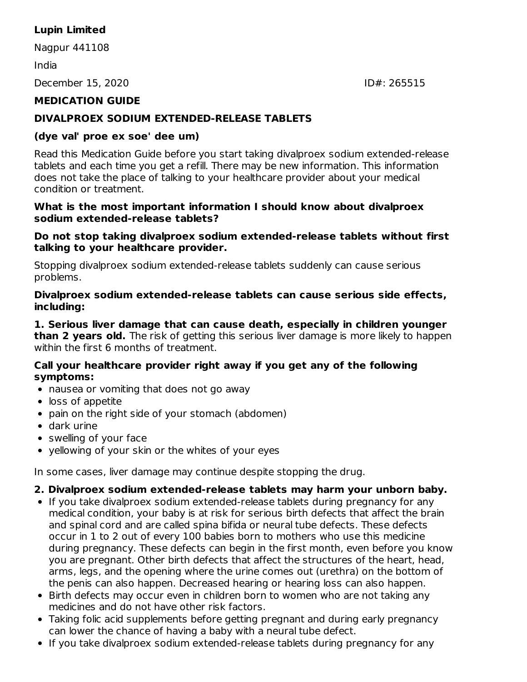# **Lupin Limited**

Nagpur 441108

#### India

December 15, 2020 **IDE:** 265515

# **MEDICATION GUIDE**

#### **DIVALPROEX SODIUM EXTENDED-RELEASE TABLETS**

#### **(dye val' proe ex soe' dee um)**

Read this Medication Guide before you start taking divalproex sodium extended-release tablets and each time you get a refill. There may be new information. This information does not take the place of talking to your healthcare provider about your medical condition or treatment.

#### **What is the most important information I should know about divalproex sodium extended-release tablets?**

#### **Do not stop taking divalproex sodium extended-release tablets without first talking to your healthcare provider.**

Stopping divalproex sodium extended-release tablets suddenly can cause serious problems.

#### **Divalproex sodium extended-release tablets can cause serious side effects, including:**

#### **1. Serious liver damage that can cause death, especially in children younger than 2 years old.** The risk of getting this serious liver damage is more likely to happen within the first 6 months of treatment.

#### **Call your healthcare provider right away if you get any of the following symptoms:**

- nausea or vomiting that does not go away
- loss of appetite
- pain on the right side of your stomach (abdomen)
- dark urine
- swelling of your face
- yellowing of your skin or the whites of your eyes

In some cases, liver damage may continue despite stopping the drug.

# **2. Divalproex sodium extended-release tablets may harm your unborn baby.**

- If you take divalproex sodium extended-release tablets during pregnancy for any medical condition, your baby is at risk for serious birth defects that affect the brain and spinal cord and are called spina bifida or neural tube defects. These defects occur in 1 to 2 out of every 100 babies born to mothers who use this medicine during pregnancy. These defects can begin in the first month, even before you know you are pregnant. Other birth defects that affect the structures of the heart, head, arms, legs, and the opening where the urine comes out (urethra) on the bottom of the penis can also happen. Decreased hearing or hearing loss can also happen.
- Birth defects may occur even in children born to women who are not taking any medicines and do not have other risk factors.
- Taking folic acid supplements before getting pregnant and during early pregnancy can lower the chance of having a baby with a neural tube defect.
- If you take divalproex sodium extended-release tablets during pregnancy for any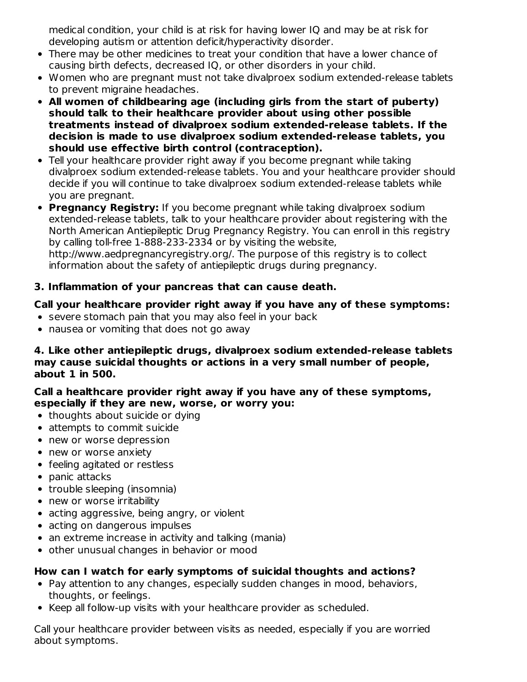medical condition, your child is at risk for having lower IQ and may be at risk for developing autism or attention deficit/hyperactivity disorder.

- There may be other medicines to treat your condition that have a lower chance of causing birth defects, decreased IQ, or other disorders in your child.
- Women who are pregnant must not take divalproex sodium extended-release tablets to prevent migraine headaches.
- **All women of childbearing age (including girls from the start of puberty) should talk to their healthcare provider about using other possible treatments instead of divalproex sodium extended-release tablets. If the decision is made to use divalproex sodium extended-release tablets, you should use effective birth control (contraception).**
- Tell your healthcare provider right away if you become pregnant while taking divalproex sodium extended-release tablets. You and your healthcare provider should decide if you will continue to take divalproex sodium extended-release tablets while you are pregnant.

**Pregnancy Registry:** If you become pregnant while taking divalproex sodium extended-release tablets, talk to your healthcare provider about registering with the North American Antiepileptic Drug Pregnancy Registry. You can enroll in this registry by calling toll-free 1-888-233-2334 or by visiting the website, http://www.aedpregnancyregistry.org/. The purpose of this registry is to collect information about the safety of antiepileptic drugs during pregnancy.

# **3. Inflammation of your pancreas that can cause death.**

# **Call your healthcare provider right away if you have any of these symptoms:**

- severe stomach pain that you may also feel in your back
- nausea or vomiting that does not go away

#### **4. Like other antiepileptic drugs, divalproex sodium extended-release tablets may cause suicidal thoughts or actions in a very small number of people, about 1 in 500.**

#### **Call a healthcare provider right away if you have any of these symptoms, especially if they are new, worse, or worry you:**

- thoughts about suicide or dying
- attempts to commit suicide
- new or worse depression
- new or worse anxiety
- feeling agitated or restless
- panic attacks
- trouble sleeping (insomnia)
- new or worse irritability
- acting aggressive, being angry, or violent
- acting on dangerous impulses
- an extreme increase in activity and talking (mania)
- other unusual changes in behavior or mood

### **How can I watch for early symptoms of suicidal thoughts and actions?**

- Pay attention to any changes, especially sudden changes in mood, behaviors, thoughts, or feelings.
- Keep all follow-up visits with your healthcare provider as scheduled.

Call your healthcare provider between visits as needed, especially if you are worried about symptoms.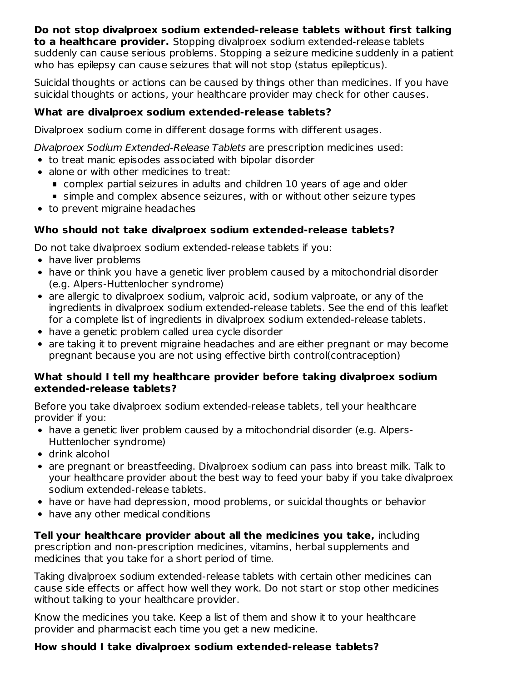# **Do not stop divalproex sodium extended-release tablets without first talking to a healthcare provider.** Stopping divalproex sodium extended-release tablets

suddenly can cause serious problems. Stopping a seizure medicine suddenly in a patient who has epilepsy can cause seizures that will not stop (status epilepticus).

Suicidal thoughts or actions can be caused by things other than medicines. If you have suicidal thoughts or actions, your healthcare provider may check for other causes.

# **What are divalproex sodium extended-release tablets?**

Divalproex sodium come in different dosage forms with different usages.

Divalproex Sodium Extended-Release Tablets are prescription medicines used:

- to treat manic episodes associated with bipolar disorder
- alone or with other medicines to treat:
	- complex partial seizures in adults and children 10 years of age and older
	- simple and complex absence seizures, with or without other seizure types
- to prevent migraine headaches

# **Who should not take divalproex sodium extended-release tablets?**

Do not take divalproex sodium extended-release tablets if you:

- have liver problems
- have or think you have a genetic liver problem caused by a mitochondrial disorder (e.g. Alpers-Huttenlocher syndrome)
- are allergic to divalproex sodium, valproic acid, sodium valproate, or any of the ingredients in divalproex sodium extended-release tablets. See the end of this leaflet for a complete list of ingredients in divalproex sodium extended-release tablets.
- have a genetic problem called urea cycle disorder
- are taking it to prevent migraine headaches and are either pregnant or may become pregnant because you are not using effective birth control(contraception)

# **What should I tell my healthcare provider before taking divalproex sodium extended-release tablets?**

Before you take divalproex sodium extended-release tablets, tell your healthcare provider if you:

- have a genetic liver problem caused by a mitochondrial disorder (e.g. Alpers-Huttenlocher syndrome)
- drink alcohol
- are pregnant or breastfeeding. Divalproex sodium can pass into breast milk. Talk to your healthcare provider about the best way to feed your baby if you take divalproex sodium extended-release tablets.
- have or have had depression, mood problems, or suicidal thoughts or behavior
- have any other medical conditions

**Tell your healthcare provider about all the medicines you take,** including prescription and non-prescription medicines, vitamins, herbal supplements and medicines that you take for a short period of time.

Taking divalproex sodium extended-release tablets with certain other medicines can cause side effects or affect how well they work. Do not start or stop other medicines without talking to your healthcare provider.

Know the medicines you take. Keep a list of them and show it to your healthcare provider and pharmacist each time you get a new medicine.

# **How should I take divalproex sodium extended-release tablets?**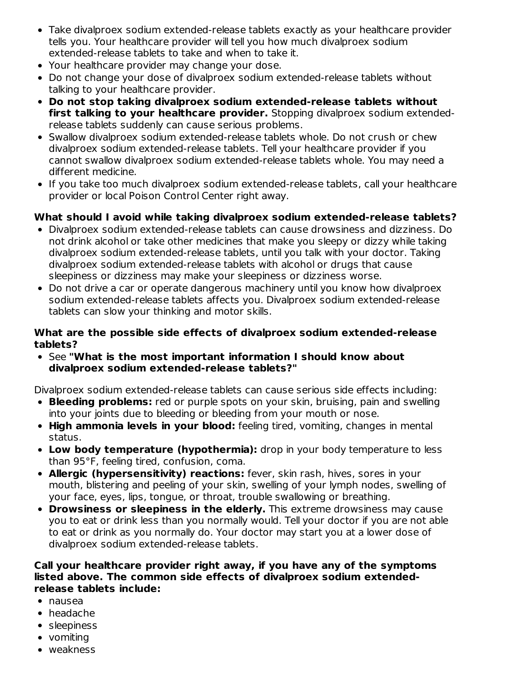- Take divalproex sodium extended-release tablets exactly as your healthcare provider tells you. Your healthcare provider will tell you how much divalproex sodium extended-release tablets to take and when to take it.
- Your healthcare provider may change your dose.
- Do not change your dose of divalproex sodium extended-release tablets without talking to your healthcare provider.
- **Do not stop taking divalproex sodium extended-release tablets without first talking to your healthcare provider.** Stopping divalproex sodium extendedrelease tablets suddenly can cause serious problems.
- Swallow divalproex sodium extended-release tablets whole. Do not crush or chew divalproex sodium extended-release tablets. Tell your healthcare provider if you cannot swallow divalproex sodium extended-release tablets whole. You may need a different medicine.
- If you take too much divalproex sodium extended-release tablets, call your healthcare provider or local Poison Control Center right away.

### **What should I avoid while taking divalproex sodium extended-release tablets?**

- Divalproex sodium extended-release tablets can cause drowsiness and dizziness. Do not drink alcohol or take other medicines that make you sleepy or dizzy while taking divalproex sodium extended-release tablets, until you talk with your doctor. Taking divalproex sodium extended-release tablets with alcohol or drugs that cause sleepiness or dizziness may make your sleepiness or dizziness worse.
- Do not drive a car or operate dangerous machinery until you know how divalproex sodium extended-release tablets affects you. Divalproex sodium extended-release tablets can slow your thinking and motor skills.

#### **What are the possible side effects of divalproex sodium extended-release tablets?**

See **"What is the most important information I should know about divalproex sodium extended-release tablets?"**

Divalproex sodium extended-release tablets can cause serious side effects including:

- **Bleeding problems:** red or purple spots on your skin, bruising, pain and swelling into your joints due to bleeding or bleeding from your mouth or nose.
- **High ammonia levels in your blood:** feeling tired, vomiting, changes in mental status.
- **Low body temperature (hypothermia):** drop in your body temperature to less than 95°F, feeling tired, confusion, coma.
- **Allergic (hypersensitivity) reactions:** fever, skin rash, hives, sores in your mouth, blistering and peeling of your skin, swelling of your lymph nodes, swelling of your face, eyes, lips, tongue, or throat, trouble swallowing or breathing.
- **Drowsiness or sleepiness in the elderly.** This extreme drowsiness may cause you to eat or drink less than you normally would. Tell your doctor if you are not able to eat or drink as you normally do. Your doctor may start you at a lower dose of divalproex sodium extended-release tablets.

#### **Call your healthcare provider right away, if you have any of the symptoms listed above. The common side effects of divalproex sodium extendedrelease tablets include:**

- nausea
- headache
- sleepiness
- vomiting
- weakness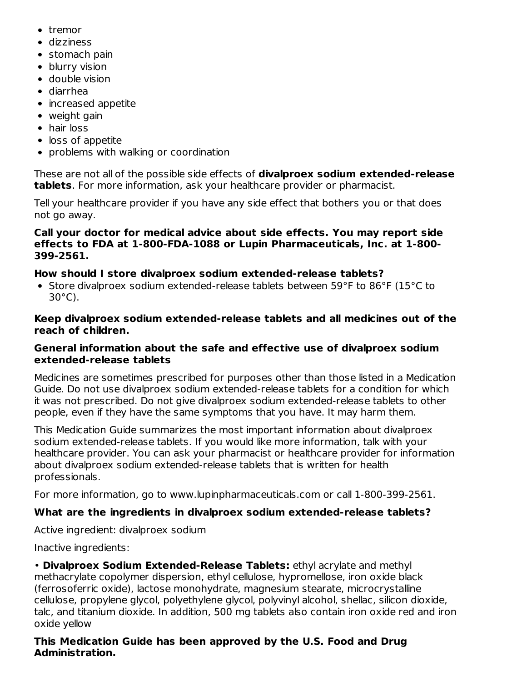- tremor
- dizziness
- stomach pain
- blurry vision
- double vision
- diarrhea
- increased appetite
- weight gain
- hair loss
- loss of appetite
- problems with walking or coordination

These are not all of the possible side effects of **divalproex sodium extended-release tablets**. For more information, ask your healthcare provider or pharmacist.

Tell your healthcare provider if you have any side effect that bothers you or that does not go away.

#### **Call your doctor for medical advice about side effects. You may report side effects to FDA at 1-800-FDA-1088 or Lupin Pharmaceuticals, Inc. at 1-800- 399-2561.**

# **How should I store divalproex sodium extended-release tablets?**

• Store divalproex sodium extended-release tablets between 59°F to 86°F (15°C to 30°C).

#### **Keep divalproex sodium extended-release tablets and all medicines out of the reach of children.**

### **General information about the safe and effective use of divalproex sodium extended-release tablets**

Medicines are sometimes prescribed for purposes other than those listed in a Medication Guide. Do not use divalproex sodium extended-release tablets for a condition for which it was not prescribed. Do not give divalproex sodium extended-release tablets to other people, even if they have the same symptoms that you have. It may harm them.

This Medication Guide summarizes the most important information about divalproex sodium extended-release tablets. If you would like more information, talk with your healthcare provider. You can ask your pharmacist or healthcare provider for information about divalproex sodium extended-release tablets that is written for health professionals.

For more information, go to www.lupinpharmaceuticals.com or call 1-800-399-2561.

# **What are the ingredients in divalproex sodium extended-release tablets?**

Active ingredient: divalproex sodium

Inactive ingredients:

• **Divalproex Sodium Extended-Release Tablets:** ethyl acrylate and methyl methacrylate copolymer dispersion, ethyl cellulose, hypromellose, iron oxide black (ferrosoferric oxide), lactose monohydrate, magnesium stearate, microcrystalline cellulose, propylene glycol, polyethylene glycol, polyvinyl alcohol, shellac, silicon dioxide, talc, and titanium dioxide. In addition, 500 mg tablets also contain iron oxide red and iron oxide yellow

#### **This Medication Guide has been approved by the U.S. Food and Drug Administration.**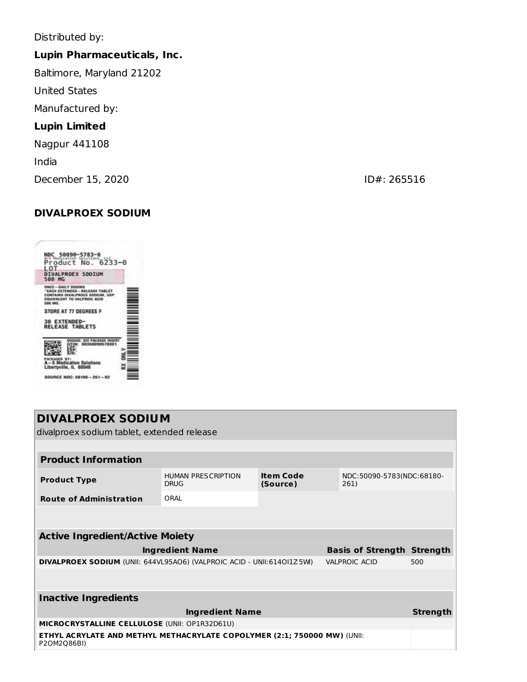Distributed by:

# **Lupin Pharmaceuticals, Inc.**

Baltimore, Maryland 21202

United States

Manufactured by:

# **Lupin Limited**

Nagpur 441108

India

December 15, 2020 **ID#: 265516** 

# **DIVALPROEX SODIUM**

| NDC 50090-5783-0<br>Product No. 6233-0<br>LOT<br><b>DIVALPROEX SODIUM</b>                                                                         |  |
|---------------------------------------------------------------------------------------------------------------------------------------------------|--|
| <b>500 MG</b>                                                                                                                                     |  |
| ONCE - DAILY DOSING<br>"EACH EXTENDED - RELEASE TABLET<br>CONTAINS DIVALPROEX SODIUM, USP<br><b>EQUIVALENT TO VALPROIC ACID</b><br><b>500 MG.</b> |  |
| STORE AT 77 DEGREES F                                                                                                                             |  |
| 30 EXTENDED-<br><b>RELEASE TABLETS</b>                                                                                                            |  |
| 00350090578301                                                                                                                                    |  |
| PACKAGED<br><b>A-S Medication Solutions</b><br>Libertyville, IL 60048                                                                             |  |
| SOURCE NDC: 68180 -- 261 - 02                                                                                                                     |  |

| <b>DIVALPROEX SODIUM</b><br>divalproex sodium tablet, extended release                        |                                                                          |                              |  |                                   |                 |
|-----------------------------------------------------------------------------------------------|--------------------------------------------------------------------------|------------------------------|--|-----------------------------------|-----------------|
|                                                                                               |                                                                          |                              |  |                                   |                 |
| <b>Product Information</b>                                                                    |                                                                          |                              |  |                                   |                 |
| <b>Product Type</b>                                                                           | <b>HUMAN PRESCRIPTION</b><br><b>DRUG</b>                                 | <b>Item Code</b><br>(Source) |  | NDC:50090-5783(NDC:68180-<br>261) |                 |
| <b>Route of Administration</b>                                                                | ORAI                                                                     |                              |  |                                   |                 |
|                                                                                               |                                                                          |                              |  |                                   |                 |
| <b>Active Ingredient/Active Moiety</b>                                                        |                                                                          |                              |  |                                   |                 |
|                                                                                               | <b>Ingredient Name</b>                                                   |                              |  | <b>Basis of Strength Strength</b> |                 |
| DIVALPROEX SODIUM (UNII: 644VL95AO6) (VALPROIC ACID - UNII:614OI1Z5W)<br><b>VALPROIC ACID</b> |                                                                          |                              |  |                                   | 500             |
|                                                                                               |                                                                          |                              |  |                                   |                 |
| <b>Inactive Ingredients</b>                                                                   |                                                                          |                              |  |                                   |                 |
| <b>Ingredient Name</b>                                                                        |                                                                          |                              |  |                                   | <b>Strength</b> |
| MICROCRYSTALLINE CELLULOSE (UNII: OP1R32D61U)                                                 |                                                                          |                              |  |                                   |                 |
| P2OM2Q86BI)                                                                                   | ETHYL ACRYLATE AND METHYL METHACRYLATE COPOLYMER (2:1; 750000 MW) (UNII: |                              |  |                                   |                 |
|                                                                                               |                                                                          |                              |  |                                   |                 |